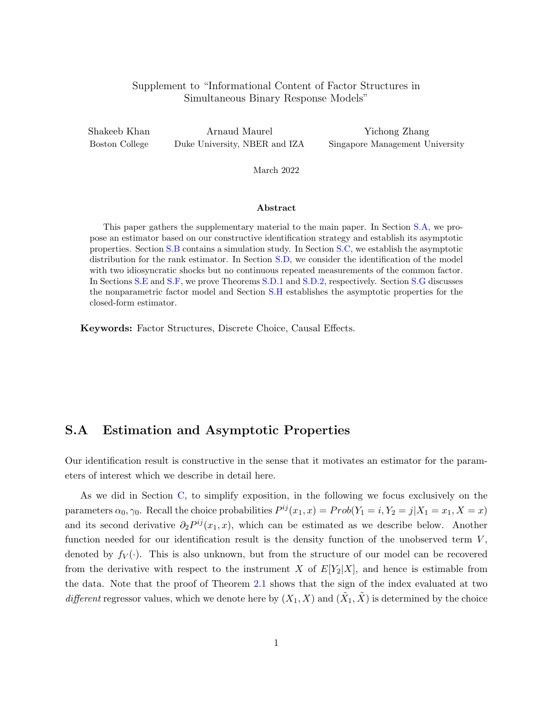### <span id="page-0-1"></span>Supplement to "Informational Content of Factor Structures in Simultaneous Binary Response Models"

Shakeeb Khan Boston College

Arnaud Maurel Duke University, NBER and IZA

Yichong Zhang Singapore Management University

March 2022

#### Abstract

This paper gathers the supplementary material to the main paper. In Section [S.A,](#page-0-0) we propose an estimator based on our constructive identification strategy and establish its asymptotic properties. Section [S.B](#page-2-0) contains a simulation study. In Section [S.C,](#page-5-0) we establish the asymptotic distribution for the rank estimator. In Section [S.D,](#page-12-0) we consider the identification of the model with two idiosyncratic shocks but no continuous repeated measurements of the common factor. In Sections [S.E](#page-14-0) and [S.F,](#page-15-0) we prove Theorems [S.D.1](#page-12-1) and [S.D.2,](#page-14-1) respectively. Section [S.G](#page-17-0) discusses the nonparametric factor model and Section [S.H](#page-19-0) establishes the asymptotic properties for the closed-form estimator.

Keywords: Factor Structures, Discrete Choice, Causal Effects.

## <span id="page-0-0"></span>S.A Estimation and Asymptotic Properties

Our identification result is constructive in the sense that it motivates an estimator for the parameters of interest which we describe in detail here.

As we did in Section C, to simplify exposition, in the following we focus exclusively on the parameters  $\alpha_0, \gamma_0$ . Recall the choice probabilities  $P^{ij}(x_1, x) = Prob(Y_1 = i, Y_2 = j | X_1 = x_1, X = x)$ and its second derivative  $\partial_2 P^{ij}(x_1, x)$ , which can be estimated as we describe below. Another function needed for our identification result is the density function of the unobserved term  $V$ , denoted by  $f_V(\cdot)$ . This is also unknown, but from the structure of our model can be recovered from the derivative with respect to the instrument X of  $E[Y_2|X]$ , and hence is estimable from the data. Note that the proof of Theorem 2.1 shows that the sign of the index evaluated at two different regressor values, which we denote here by  $(X_1, X)$  and  $(\tilde{X}_1, \tilde{X})$  is determined by the choice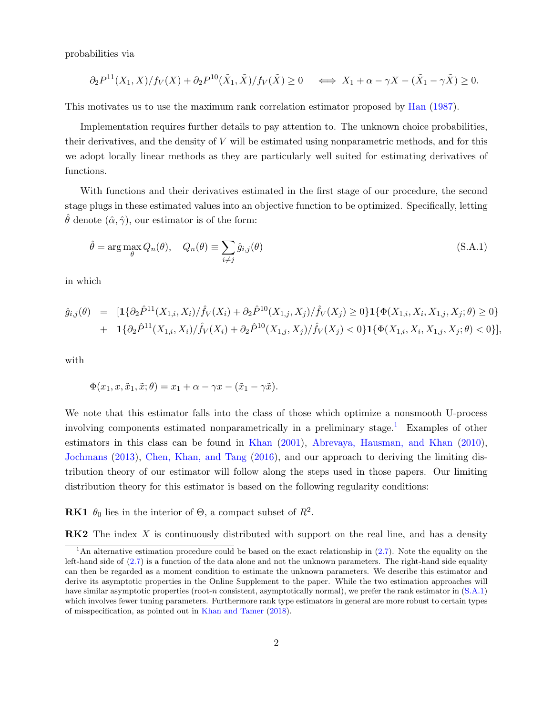probabilities via

$$
\partial_2 P^{11}(X_1, X)/f_V(X) + \partial_2 P^{10}(\tilde{X}_1, \tilde{X})/f_V(\tilde{X}) \ge 0 \quad \Longleftrightarrow X_1 + \alpha - \gamma X - (\tilde{X}_1 - \gamma \tilde{X}) \ge 0.
$$

This motivates us to use the maximum rank correlation estimator proposed by [Han](#page-28-0) [\(1987\)](#page-28-0).

Implementation requires further details to pay attention to. The unknown choice probabilities, their derivatives, and the density of V will be estimated using nonparametric methods, and for this we adopt locally linear methods as they are particularly well suited for estimating derivatives of functions.

With functions and their derivatives estimated in the first stage of our procedure, the second stage plugs in these estimated values into an objective function to be optimized. Specifically, letting  $\hat{\theta}$  denote  $(\hat{\alpha}, \hat{\gamma})$ , our estimator is of the form:

<span id="page-1-1"></span>
$$
\hat{\theta} = \arg \max_{\theta} Q_n(\theta), \quad Q_n(\theta) \equiv \sum_{i \neq j} \hat{g}_{i,j}(\theta)
$$
\n(S.A.1)

in which

$$
\hat{g}_{i,j}(\theta) = [1\{\partial_2 \hat{P}^{11}(X_{1,i}, X_i) / \hat{f}_V(X_i) + \partial_2 \hat{P}^{10}(X_{1,j}, X_j) / \hat{f}_V(X_j) \ge 0\} \mathbf{1}\{\Phi(X_{1,i}, X_i, X_{1,j}, X_j; \theta) \ge 0\} \n+ 1\{\partial_2 \hat{P}^{11}(X_{1,i}, X_i) / \hat{f}_V(X_i) + \partial_2 \hat{P}^{10}(X_{1,j}, X_j) / \hat{f}_V(X_j) < 0\} \mathbf{1}\{\Phi(X_{1,i}, X_i, X_{1,j}, X_j; \theta) < 0\}],
$$

with

$$
\Phi(x_1, x, \tilde{x}_1, \tilde{x}; \theta) = x_1 + \alpha - \gamma x - (\tilde{x}_1 - \gamma \tilde{x}).
$$

We note that this estimator falls into the class of those which optimize a nonsmooth U-process involving components estimated nonparametrically in a preliminary stage.<sup>[1](#page-1-0)</sup> Examples of other estimators in this class can be found in [Khan](#page-28-1) [\(2001\)](#page-28-1), [Abrevaya, Hausman, and Khan](#page-27-0) [\(2010\)](#page-27-0), [Jochmans](#page-28-2) [\(2013\)](#page-28-2), [Chen, Khan, and Tang](#page-28-3) [\(2016\)](#page-28-3), and our approach to deriving the limiting distribution theory of our estimator will follow along the steps used in those papers. Our limiting distribution theory for this estimator is based on the following regularity conditions:

**RK1**  $\theta_0$  lies in the interior of  $\Theta$ , a compact subset of  $R^2$ .

**RK2** The index X is continuously distributed with support on the real line, and has a density

<span id="page-1-0"></span><sup>&</sup>lt;sup>1</sup>An alternative estimation procedure could be based on the exact relationship in  $(2.7)$ . Note the equality on the left-hand side of  $(2.7)$  is a function of the data alone and not the unknown parameters. The right-hand side equality can then be regarded as a moment condition to estimate the unknown parameters. We describe this estimator and derive its asymptotic properties in the Online Supplement to the paper. While the two estimation approaches will have similar asymptotic properties (root-n consistent, asymptotically normal), we prefer the rank estimator in  $(S.A.1)$ which involves fewer tuning parameters. Furthermore rank type estimators in general are more robust to certain types of misspecification, as pointed out in [Khan and Tamer](#page-28-4) [\(2018\)](#page-28-4).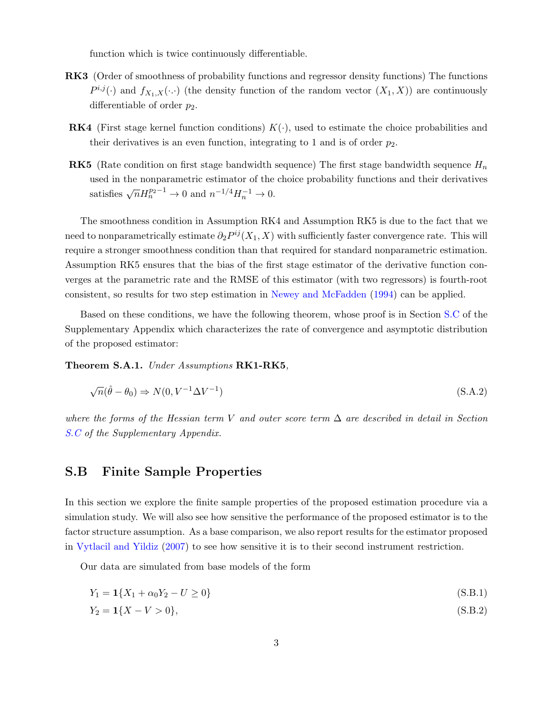function which is twice continuously differentiable.

- RK3 (Order of smoothness of probability functions and regressor density functions) The functions  $P^{i,j}(\cdot)$  and  $f_{X_1,X}(\cdot,\cdot)$  (the density function of the random vector  $(X_1, X)$ ) are continuously differentiable of order  $p_2$ .
- **RK4** (First stage kernel function conditions)  $K(\cdot)$ , used to estimate the choice probabilities and their derivatives is an even function, integrating to 1 and is of order  $p_2$ .
- **RK5** (Rate condition on first stage bandwidth sequence) The first stage bandwidth sequence  $H_n$ used in the nonparametric estimator of the choice probability functions and their derivatives satisfies  $\sqrt{n}H_n^{p_2-1} \to 0$  and  $n^{-1/4}H_n^{-1} \to 0$ .

The smoothness condition in Assumption RK4 and Assumption RK5 is due to the fact that we need to nonparametrically estimate  $\partial_2 P^{ij}(X_1, X)$  with sufficiently faster convergence rate. This will require a stronger smoothness condition than that required for standard nonparametric estimation. Assumption RK5 ensures that the bias of the first stage estimator of the derivative function converges at the parametric rate and the RMSE of this estimator (with two regressors) is fourth-root consistent, so results for two step estimation in [Newey and McFadden](#page-28-5) [\(1994\)](#page-28-5) can be applied.

Based on these conditions, we have the following theorem, whose proof is in Section [S.C](#page-5-0) of the Supplementary Appendix which characterizes the rate of convergence and asymptotic distribution of the proposed estimator:

<span id="page-2-3"></span>Theorem S.A.1. Under Assumptions RK1-RK5,

$$
\sqrt{n}(\hat{\theta} - \theta_0) \Rightarrow N(0, V^{-1} \Delta V^{-1})
$$
\n(S.A.2)

where the forms of the Hessian term V and outer score term  $\Delta$  are described in detail in Section [S.C](#page-5-0) of the Supplementary Appendix.

## <span id="page-2-0"></span>S.B Finite Sample Properties

In this section we explore the finite sample properties of the proposed estimation procedure via a simulation study. We will also see how sensitive the performance of the proposed estimator is to the factor structure assumption. As a base comparison, we also report results for the estimator proposed in [Vytlacil and Yildiz](#page-29-0) [\(2007\)](#page-29-0) to see how sensitive it is to their second instrument restriction.

Our data are simulated from base models of the form

<span id="page-2-1"></span>
$$
Y_1 = \mathbf{1}\{X_1 + \alpha_0 Y_2 - U \ge 0\} \tag{S.B.1}
$$

<span id="page-2-2"></span>
$$
Y_2 = \mathbf{1}\{X - V > 0\},\tag{S.B.2}
$$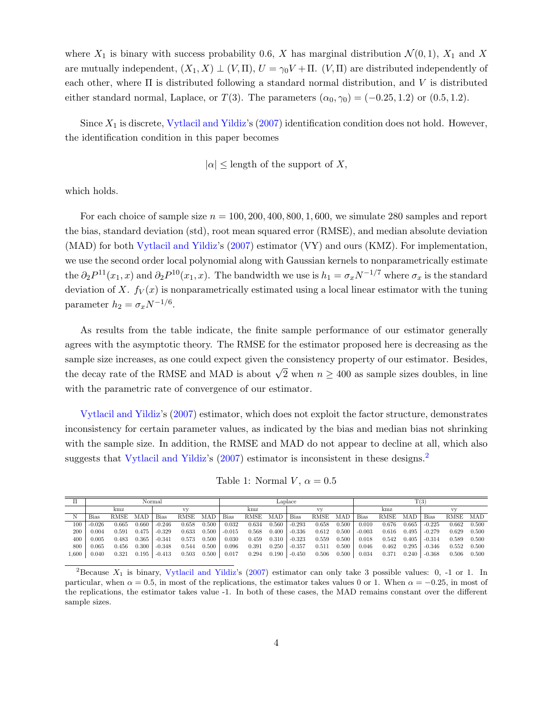where  $X_1$  is binary with success probability 0.6, X has marginal distribution  $\mathcal{N}(0,1)$ ,  $X_1$  and X are mutually independent,  $(X_1, X) \perp (V, \Pi), U = \gamma_0 V + \Pi$ .  $(V, \Pi)$  are distributed independently of each other, where  $\Pi$  is distributed following a standard normal distribution, and  $V$  is distributed either standard normal, Laplace, or T(3). The parameters  $(\alpha_0, \gamma_0) = (-0.25, 1.2)$  or  $(0.5, 1.2)$ .

Since  $X_1$  is discrete, [Vytlacil and Yildiz'](#page-29-0)s  $(2007)$  identification condition does not hold. However, the identification condition in this paper becomes

$$
|\alpha| \leq \text{length of the support of } X,
$$

which holds.

For each choice of sample size  $n = 100, 200, 400, 800, 1, 600$ , we simulate 280 samples and report the bias, standard deviation (std), root mean squared error (RMSE), and median absolute deviation (MAD) for both [Vytlacil and Yildiz'](#page-29-0)s [\(2007\)](#page-29-0) estimator (VY) and ours (KMZ). For implementation, we use the second order local polynomial along with Gaussian kernels to nonparametrically estimate the  $\partial_2 P^{11}(x_1, x)$  and  $\partial_2 P^{10}(x_1, x)$ . The bandwidth we use is  $h_1 = \sigma_x N^{-1/7}$  where  $\sigma_x$  is the standard deviation of X.  $f_V(x)$  is nonparametrically estimated using a local linear estimator with the tuning parameter  $h_2 = \sigma_x N^{-1/6}$ .

As results from the table indicate, the finite sample performance of our estimator generally agrees with the asymptotic theory. The RMSE for the estimator proposed here is decreasing as the sample size increases, as one could expect given the consistency property of our estimator. Besides, the decay rate of the RMSE and MAD is about  $\sqrt{2}$  when  $n \geq 400$  as sample sizes doubles, in line with the parametric rate of convergence of our estimator.

[Vytlacil and Yildiz'](#page-29-0)s [\(2007\)](#page-29-0) estimator, which does not exploit the factor structure, demonstrates inconsistency for certain parameter values, as indicated by the bias and median bias not shrinking with the sample size. In addition, the RMSE and MAD do not appear to decline at all, which also suggests that [Vytlacil and Yildiz'](#page-29-0)s [\(2007\)](#page-29-0) estimator is inconsistent in these designs.<sup>[2](#page-3-0)</sup>

Table 1: Normal  $V, \alpha = 0.5$ 

|           | Normal      |       |            |             |       |       |          | Laplace |       |             |       |       |             | T(3)  |       |             |          |       |  |
|-----------|-------------|-------|------------|-------------|-------|-------|----------|---------|-------|-------------|-------|-------|-------------|-------|-------|-------------|----------|-------|--|
|           | kmz         |       |            |             | kmz   |       |          |         |       | kmz         |       |       |             |       |       |             |          |       |  |
| N         | <b>Bias</b> | RMSE  | <b>MAD</b> | <b>Bias</b> | RMSE  | MAD   | Bias     | RMSE    | MAD   | <b>Bias</b> | RMSE  | MAD   | <b>Bias</b> | RMSE  | MAD   | <b>Bias</b> | RMSE MAD |       |  |
| 100       | $-0.026$    | 0.665 | 0.660      | $-0.246$    | 0.658 | 0.500 | 0.032    | 0.634   | 0.560 | $-0.293$    | 0.658 | 0.500 | 0.010       | 0.676 | 0.665 | $-0.225$    | 0.662    | 0.500 |  |
| 200       | 0.004       | 0.591 | 0.475      | $-0.329$    | 0.633 | 0.500 | $-0.015$ | 0.568   | 0.400 | $-0.336$    | 0.612 | 0.500 | $-0.003$    | 0.616 | 0.495 | $-0.279$    | 0.629    | 0.500 |  |
| 400       | 0.005       | 0.483 | 0.365      | $-0.341$    | 0.573 | 0.500 | 0.030    | 0.459   | 0.310 | $-0.323$    | 0.559 | 0.500 | 0.018       | 0.542 | 0.405 | $-0.314$    | 0.589    | 0.500 |  |
| 800       | 0.065       | 0.456 | 0.300      | $-0.348$    | 0.544 | 0.500 | 0.096    | 0.391   | 0.250 | $-0.357$    | 0.511 | 0.500 | 0.046       | 0.462 | 0.295 | $-0.346$    | 0.552    | 0.500 |  |
| $1.600\,$ | 0.040       | 0.321 | 0.195      | $-0.413$    | 0.503 | 0.500 | 0.017    | 0.294   | 0.190 | $-0.450$    | 0.506 | 0.500 | 0.034       | 0.371 | 0.240 | $-0.368$    | 0.506    | 0.500 |  |

<span id="page-3-0"></span><sup>&</sup>lt;sup>2</sup>Because  $X_1$  is binary, [Vytlacil and Yildiz'](#page-29-0)s [\(2007\)](#page-29-0) estimator can only take 3 possible values: 0, -1 or 1. In particular, when  $\alpha = 0.5$ , in most of the replications, the estimator takes values 0 or 1. When  $\alpha = -0.25$ , in most of the replications, the estimator takes value -1. In both of these cases, the MAD remains constant over the different sample sizes.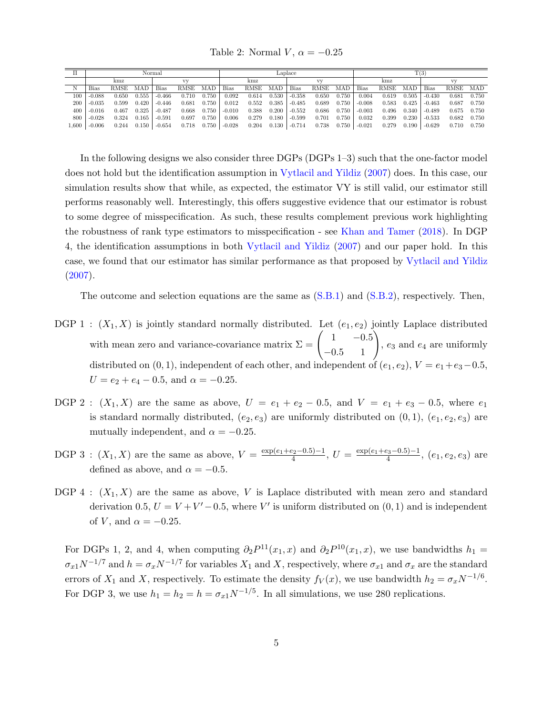Table 2: Normal  $V, \alpha = -0.25$ 

|       | Normal   |             |            |            |       |       |             | Laplace |       |             |       |       |             | T(3)  |       |          |       |       |  |
|-------|----------|-------------|------------|------------|-------|-------|-------------|---------|-------|-------------|-------|-------|-------------|-------|-------|----------|-------|-------|--|
|       | kmz      |             |            | <b>ATL</b> |       |       | kmz         |         |       |             |       |       | kmz         |       |       |          |       |       |  |
| N     | Bias     | <b>RMSE</b> | <b>MAD</b> | Bias       | RMSE  | MAD   | <b>Bias</b> | RMSE    | MAD   | <b>Bias</b> | RMSE  | MAD   | <b>Bias</b> | RMSE  | MAD   | Bias     | RMSE  | MAD   |  |
| 100   | $-0.088$ | 0.650       | 0.555      | $-0.466$   | 0.710 | 0.750 | 0.092       | 0.614   | 0.530 | $-0.358$    | 0.650 | 0.750 | 0.004       | 0.619 | 0.505 | $-0.430$ | 0.681 | 0.750 |  |
| 200   | $-0.035$ | 0.599       | 0.420      | $-0.446$   | 0.681 | 0.750 | 0.012       | 0.552   | 0.385 | $-0.485$    | 0.689 | 0.750 | $-0.008$    | 0.583 | 0.425 | $-0.463$ | 0.687 | 0.750 |  |
| 400   | $-0.016$ | 0.467       | 0.325      | $-0.487$   | 0.668 | 0.750 | $-0.010$    | 0.388   | 0.200 | $-0.552$    | 0.686 | 0.750 | $-0.003$    | 0.496 | 0.340 | $-0.489$ | 0.675 | 0.750 |  |
| 800   | $-0.028$ | 0.324       | 0.165      | $-0.591$   | 0.697 | 0.750 | 0.006       | 0.279   | 0.180 | $-0.599$    | 0.701 | 0.750 | 0.032       | 0.399 | 0.230 | $-0.533$ | 0.682 | 0.750 |  |
| 1,600 | $-0.006$ | 0.244       | 0.150      | $-0.654$   | 0.718 | 0.750 | $-0.028$    | 0.204   | 0.130 | $-0.714$    | 0.738 | 0.750 | $-0.021$    | 0.279 | 0.190 | $-0.629$ | 0.710 | 0.750 |  |

In the following designs we also consider three DGPs (DGPs 1–3) such that the one-factor model does not hold but the identification assumption in [Vytlacil and Yildiz](#page-29-0) [\(2007\)](#page-29-0) does. In this case, our simulation results show that while, as expected, the estimator VY is still valid, our estimator still performs reasonably well. Interestingly, this offers suggestive evidence that our estimator is robust to some degree of misspecification. As such, these results complement previous work highlighting the robustness of rank type estimators to misspecification - see [Khan and Tamer](#page-28-4) [\(2018\)](#page-28-4). In DGP 4, the identification assumptions in both [Vytlacil and Yildiz](#page-29-0) [\(2007\)](#page-29-0) and our paper hold. In this case, we found that our estimator has similar performance as that proposed by [Vytlacil and Yildiz](#page-29-0)  $(2007).$  $(2007).$ 

The outcome and selection equations are the same as [\(S.B.1\)](#page-2-1) and [\(S.B.2\)](#page-2-2), respectively. Then,

- DGP 1 :  $(X_1, X)$  is jointly standard normally distributed. Let  $(e_1, e_2)$  jointly Laplace distributed with mean zero and variance-covariance matrix  $\Sigma = \begin{pmatrix} 1 & -0.5 \\ -0.5 & 1 \end{pmatrix}$ ,  $e_3$  and  $e_4$  are uniformly distributed on  $(0, 1)$ , independent of each other, and independent of  $(e_1, e_2)$ ,  $V = e_1 + e_3 - 0.5$  $U = e_2 + e_4 - 0.5$ , and  $\alpha = -0.25$ .
- DGP 2 :  $(X_1, X)$  are the same as above,  $U = e_1 + e_2 0.5$ , and  $V = e_1 + e_3 0.5$ , where  $e_1$ is standard normally distributed,  $(e_2, e_3)$  are uniformly distributed on  $(0, 1)$ ,  $(e_1, e_2, e_3)$  are mutually independent, and  $\alpha = -0.25$ .
- DGP 3:  $(X_1, X)$  are the same as above,  $V = \frac{\exp(e_1 + e_2 0.5) 1}{4}$  $\frac{e_2-0.5)-1}{4}$ ,  $U = \frac{\exp(e_1+e_3-0.5)-1}{4}$  $\frac{e_3-0.5)-1}{4}$ ,  $(e_1, e_2, e_3)$  are defined as above, and  $\alpha = -0.5$ .
- DGP 4 :  $(X_1, X)$  are the same as above, V is Laplace distributed with mean zero and standard derivation 0.5,  $U = V + V' - 0.5$ , where V' is uniform distributed on  $(0, 1)$  and is independent of V, and  $\alpha = -0.25$ .

For DGPs 1, 2, and 4, when computing  $\partial_2 P^{11}(x_1,x)$  and  $\partial_2 P^{10}(x_1,x)$ , we use bandwidths  $h_1 =$  $\sigma_{x1}N^{-1/7}$  and  $h = \sigma_x N^{-1/7}$  for variables  $X_1$  and  $X$ , respectively, where  $\sigma_{x1}$  and  $\sigma_x$  are the standard errors of  $X_1$  and X, respectively. To estimate the density  $f_V(x)$ , we use bandwidth  $h_2 = \sigma_x N^{-1/6}$ . For DGP 3, we use  $h_1 = h_2 = h = \sigma_{x1} N^{-1/5}$ . In all simulations, we use 280 replications.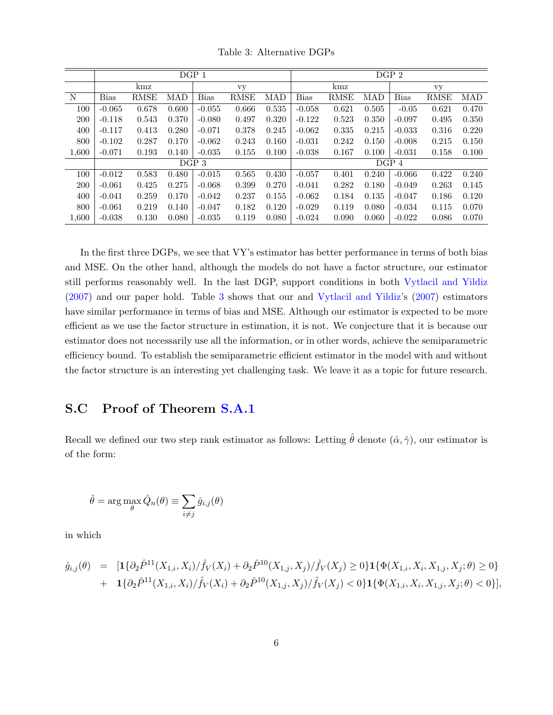<span id="page-5-1"></span>

|            |             |       |            | DGP 1       |             | DGP <sub>2</sub> |             |             |       |             |             |            |  |
|------------|-------------|-------|------------|-------------|-------------|------------------|-------------|-------------|-------|-------------|-------------|------------|--|
|            |             | kmz   |            |             | vy          |                  |             | kmz         |       | vy          |             |            |  |
| N          | <b>Bias</b> | RMSE  | <b>MAD</b> | <b>Bias</b> | <b>RMSE</b> | MAD              | <b>Bias</b> | <b>RMSE</b> | MAD   | <b>Bias</b> | <b>RMSE</b> | <b>MAD</b> |  |
| 100        | $-0.065$    | 0.678 | 0.600      | $-0.055$    | 0.666       | 0.535            | $-0.058$    | 0.621       | 0.505 | $-0.05$     | 0.621       | 0.470      |  |
| 200        | $-0.118$    | 0.543 | 0.370      | $-0.080$    | 0.497       | 0.320            | $-0.122$    | 0.523       | 0.350 | $-0.097$    | 0.495       | 0.350      |  |
| 400        | $-0.117$    | 0.413 | 0.280      | $-0.071$    | 0.378       | 0.245            | $-0.062$    | 0.335       | 0.215 | $-0.033$    | 0.316       | 0.220      |  |
| 800        | $-0.102$    | 0.287 | 0.170      | $-0.062$    | 0.243       | 0.160            | $-0.031$    | 0.242       | 0.150 | $-0.008$    | 0.215       | 0.150      |  |
| 1,600      | $-0.071$    | 0.193 | 0.140      | $-0.035$    | 0.155       | 0.100            | $-0.038$    | 0.167       | 0.100 | $-0.031$    | 0.158       | 0.100      |  |
|            |             |       |            | DGP 3       |             | DGP 4            |             |             |       |             |             |            |  |
| 100        | $-0.012$    | 0.583 | 0.480      | $-0.015$    | 0.565       | 0.430            | $-0.057$    | 0.401       | 0.240 | $-0.066$    | 0.422       | 0.240      |  |
| <b>200</b> | $-0.061$    | 0.425 | 0.275      | $-0.068$    | 0.399       | 0.270            | $-0.041$    | 0.282       | 0.180 | $-0.049$    | 0.263       | 0.145      |  |
| 400        | $-0.041$    | 0.259 | 0.170      | $-0.042$    | 0.237       | 0.155            | $-0.062$    | 0.184       | 0.135 | $-0.047$    | 0.186       | 0.120      |  |
| 800        | $-0.061$    | 0.219 | 0.140      | $-0.047$    | 0.182       | 0.120            | $-0.029$    | 0.119       | 0.080 | $-0.034$    | 0.115       | 0.070      |  |
| 1,600      | $-0.038$    | 0.130 | 0.080      | $-0.035$    | 0.119       | 0.080            | $-0.024$    | 0.090       | 0.060 | $-0.022$    | 0.086       | 0.070      |  |

Table 3: Alternative DGPs

In the first three DGPs, we see that VY's estimator has better performance in terms of both bias and MSE. On the other hand, although the models do not have a factor structure, our estimator still performs reasonably well. In the last DGP, support conditions in both [Vytlacil and Yildiz](#page-29-0) [\(2007\)](#page-29-0) and our paper hold. Table [3](#page-5-1) shows that our and [Vytlacil and Yildiz'](#page-29-0)s [\(2007\)](#page-29-0) estimators have similar performance in terms of bias and MSE. Although our estimator is expected to be more efficient as we use the factor structure in estimation, it is not. We conjecture that it is because our estimator does not necessarily use all the information, or in other words, achieve the semiparametric efficiency bound. To establish the semiparametric efficient estimator in the model with and without the factor structure is an interesting yet challenging task. We leave it as a topic for future research.

# <span id="page-5-0"></span>S.C Proof of Theorem [S.A.1](#page-2-3)

Recall we defined our two step rank estimator as follows: Letting  $\hat{\theta}$  denote  $(\hat{\alpha}, \hat{\gamma})$ , our estimator is of the form:

$$
\hat{\theta} = \arg \max_{\theta} \hat{Q}_n(\theta) \equiv \sum_{i \neq j} \hat{g}_{i,j}(\theta)
$$

in which

$$
\begin{aligned}\n\hat{g}_{i,j}(\theta) &= \left[ \mathbf{1} \{ \partial_2 \hat{P}^{11}(X_{1,i}, X_i) / \hat{f}_V(X_i) + \partial_2 \hat{P}^{10}(X_{1,j}, X_j) / \hat{f}_V(X_j) \ge 0 \} \mathbf{1} \{ \Phi(X_{1,i}, X_i, X_{1,j}, X_j; \theta) \ge 0 \} \right. \\
&\quad + \left. \mathbf{1} \{ \partial_2 \hat{P}^{11}(X_{1,i}, X_i) / \hat{f}_V(X_i) + \partial_2 \hat{P}^{10}(X_{1,j}, X_j) / \hat{f}_V(X_j) < 0 \} \mathbf{1} \{ \Phi(X_{1,i}, X_i, X_{1,j}, X_j; \theta) < 0 \} \right],\n\end{aligned}
$$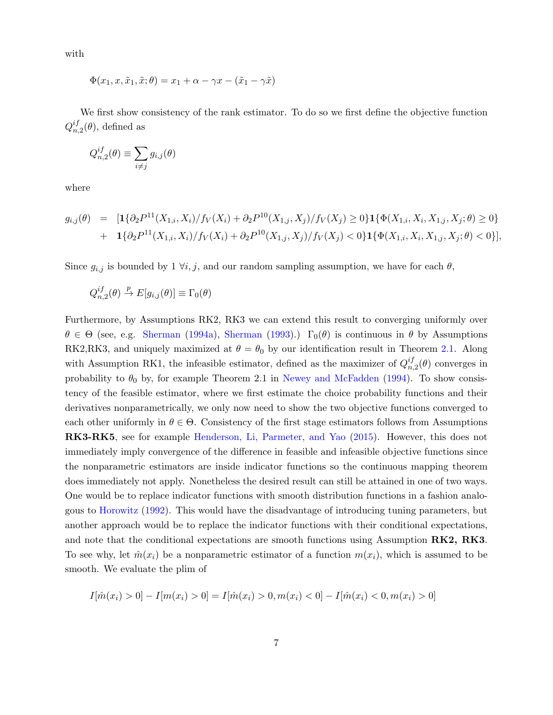with

$$
\Phi(x_1, x, \tilde{x}_1, \tilde{x}; \theta) = x_1 + \alpha - \gamma x - (\tilde{x}_1 - \gamma \tilde{x})
$$

We first show consistency of the rank estimator. To do so we first define the objective function  $Q_n^{if}$  $_{n,2}^{ij}(\theta)$ , defined as

$$
Q_{n,2}^{if}(\theta) \equiv \sum_{i \neq j} g_{i,j}(\theta)
$$

where

$$
g_{i,j}(\theta) = \left[ \mathbf{1} \{ \partial_2 P^{11}(X_{1,i}, X_i) / f_V(X_i) + \partial_2 P^{10}(X_{1,j}, X_j) / f_V(X_j) \ge 0 \} \mathbf{1} \{ \Phi(X_{1,i}, X_i, X_{1,j}, X_j; \theta) \ge 0 \} + \mathbf{1} \{ \partial_2 P^{11}(X_{1,i}, X_i) / f_V(X_i) + \partial_2 P^{10}(X_{1,j}, X_j) / f_V(X_j) < 0 \} \mathbf{1} \{ \Phi(X_{1,i}, X_i, X_{1,j}, X_j; \theta) < 0 \} \right],
$$

Since  $g_{i,j}$  is bounded by 1  $\forall i, j$ , and our random sampling assumption, we have for each  $\theta$ ,

$$
Q_{n,2}^{if}(\theta) \stackrel{p}{\to} E[g_{i,j}(\theta)] \equiv \Gamma_0(\theta)
$$

Furthermore, by Assumptions RK2, RK3 we can extend this result to converging uniformly over  $\theta \in \Theta$  (see, e.g. [Sherman](#page-29-2) [\(1994a\)](#page-29-1), Sherman [\(1993\)](#page-29-2).)  $\Gamma_0(\theta)$  is continuous in  $\theta$  by Assumptions RK2,RK3, and uniquely maximized at  $\theta = \theta_0$  by our identification result in Theorem [2.1.](#page-0-1) Along with Assumption RK1, the infeasible estimator, defined as the maximizer of  $Q_n^{if}$  $n,2(\theta)$  converges in probability to  $\theta_0$  by, for example Theorem 2.1 in [Newey and McFadden](#page-28-5) [\(1994\)](#page-28-5). To show consistency of the feasible estimator, where we first estimate the choice probability functions and their derivatives nonparametrically, we only now need to show the two objective functions converged to each other uniformly in  $\theta \in \Theta$ . Consistency of the first stage estimators follows from Assumptions RK3-RK5, see for example [Henderson, Li, Parmeter, and Yao](#page-28-6) [\(2015\)](#page-28-6). However, this does not immediately imply convergence of the difference in feasible and infeasible objective functions since the nonparametric estimators are inside indicator functions so the continuous mapping theorem does immediately not apply. Nonetheless the desired result can still be attained in one of two ways. One would be to replace indicator functions with smooth distribution functions in a fashion analogous to [Horowitz](#page-28-7) [\(1992\)](#page-28-7). This would have the disadvantage of introducing tuning parameters, but another approach would be to replace the indicator functions with their conditional expectations, and note that the conditional expectations are smooth functions using Assumption RK2, RK3. To see why, let  $\hat{m}(x_i)$  be a nonparametric estimator of a function  $m(x_i)$ , which is assumed to be smooth. We evaluate the plim of

$$
I[\hat{m}(x_i) > 0] - I[m(x_i) > 0] = I[\hat{m}(x_i) > 0, m(x_i) < 0] - I[\hat{m}(x_i) < 0, m(x_i) > 0]
$$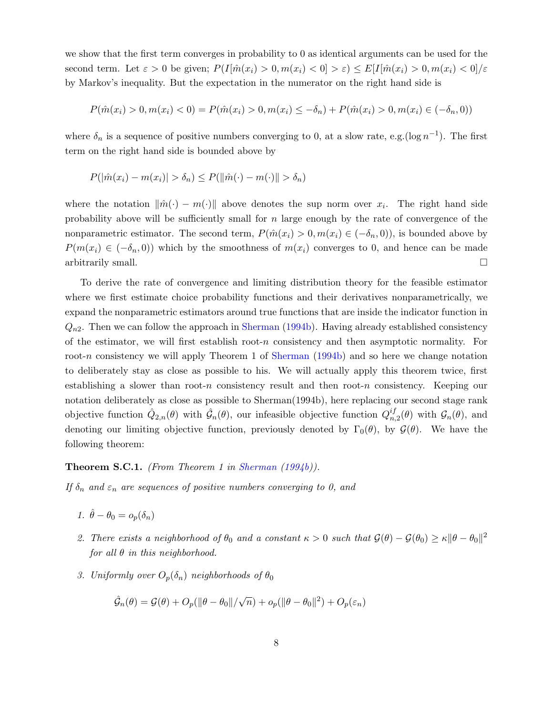we show that the first term converges in probability to 0 as identical arguments can be used for the second term. Let  $\varepsilon > 0$  be given;  $P(I[\hat{m}(x_i) > 0, m(x_i) < 0] > \varepsilon) \leq E[I[\hat{m}(x_i) > 0, m(x_i) < 0] / \varepsilon$ by Markov's inequality. But the expectation in the numerator on the right hand side is

$$
P(\hat{m}(x_i) > 0, m(x_i) < 0) = P(\hat{m}(x_i) > 0, m(x_i) \le -\delta_n) + P(\hat{m}(x_i) > 0, m(x_i) \in (-\delta_n, 0))
$$

where  $\delta_n$  is a sequence of positive numbers converging to 0, at a slow rate, e.g.( $\log n^{-1}$ ). The first term on the right hand side is bounded above by

$$
P(|\hat{m}(x_i) - m(x_i)| > \delta_n) \le P(||\hat{m}(\cdot) - m(\cdot)|| > \delta_n)
$$

where the notation  $\|\hat{m}(\cdot) - m(\cdot)\|$  above denotes the sup norm over  $x_i$ . The right hand side probability above will be sufficiently small for  $n$  large enough by the rate of convergence of the nonparametric estimator. The second term,  $P(\hat{m}(x_i) > 0, m(x_i) \in (-\delta_n, 0))$ , is bounded above by  $P(m(x_i) \in (-\delta_n, 0))$  which by the smoothness of  $m(x_i)$  converges to 0, and hence can be made arbitrarily small.  $\Box$ 

To derive the rate of convergence and limiting distribution theory for the feasible estimator where we first estimate choice probability functions and their derivatives nonparametrically, we expand the nonparametric estimators around true functions that are inside the indicator function in  $Q_{n2}$ . Then we can follow the approach in [Sherman](#page-29-3) [\(1994b\)](#page-29-3). Having already established consistency of the estimator, we will first establish root-n consistency and then asymptotic normality. For root-n consistency we will apply Theorem 1 of [Sherman](#page-29-3) [\(1994b\)](#page-29-3) and so here we change notation to deliberately stay as close as possible to his. We will actually apply this theorem twice, first establishing a slower than root-n consistency result and then root-n consistency. Keeping our notation deliberately as close as possible to Sherman(1994b), here replacing our second stage rank objective function  $\hat{Q}_{2,n}(\theta)$  with  $\hat{\mathcal{G}}_n(\theta)$ , our infeasible objective function  $Q_{n}^{if}$  $_{n,2}^{ij}(\theta)$  with  $\mathcal{G}_n(\theta)$ , and denoting our limiting objective function, previously denoted by  $\Gamma_0(\theta)$ , by  $\mathcal{G}(\theta)$ . We have the following theorem:

<span id="page-7-0"></span>**Theorem S.C.1.** (From Theorem 1 in [Sherman](#page-29-3)  $(1994b)$ ).

If  $\delta_n$  and  $\varepsilon_n$  are sequences of positive numbers converging to 0, and

- 1.  $\hat{\theta} \theta_0 = o_p(\delta_n)$
- 2. There exists a neighborhood of  $\theta_0$  and a constant  $\kappa > 0$  such that  $\mathcal{G}(\theta) \mathcal{G}(\theta_0) \geq \kappa ||\theta \theta_0||^2$ for all  $\theta$  in this neighborhood.
- 3. Uniformly over  $O_p(\delta_n)$  neighborhoods of  $\theta_0$

$$
\hat{\mathcal{G}}_n(\theta) = \mathcal{G}(\theta) + O_p(||\theta - \theta_0||/\sqrt{n}) + o_p(||\theta - \theta_0||^2) + O_p(\varepsilon_n)
$$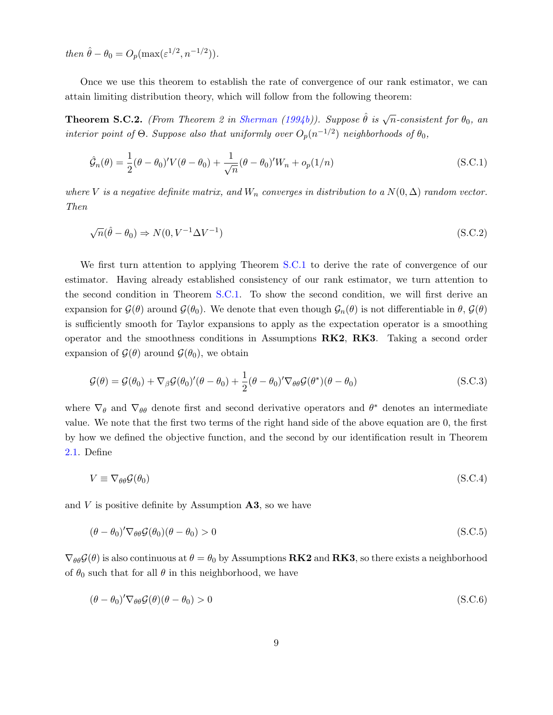then  $\hat{\theta} - \theta_0 = O_p(\max(\varepsilon^{1/2}, n^{-1/2})).$ 

Once we use this theorem to establish the rate of convergence of our rank estimator, we can attain limiting distribution theory, which will follow from the following theorem:

<span id="page-8-0"></span>**Theorem S.C.2.** (From Theorem 2 in [Sherman](#page-29-3) [\(1994b\)](#page-29-3)). Suppose  $\hat{\theta}$  is  $\sqrt{n}$ -consistent for  $\theta_0$ , an interior point of  $\Theta$ . Suppose also that uniformly over  $O_p(n^{-1/2})$  neighborhoods of  $\theta_0$ ,

$$
\hat{\mathcal{G}}_n(\theta) = \frac{1}{2} (\theta - \theta_0)' V(\theta - \theta_0) + \frac{1}{\sqrt{n}} (\theta - \theta_0)' W_n + o_p(1/n)
$$
\n(S.C.1)

where V is a negative definite matrix, and  $W_n$  converges in distribution to a  $N(0, \Delta)$  random vector. Then

$$
\sqrt{n}(\hat{\theta} - \theta_0) \Rightarrow N(0, V^{-1} \Delta V^{-1})
$$
\n(S.C.2)

We first turn attention to applying Theorem [S.C.1](#page-7-0) to derive the rate of convergence of our estimator. Having already established consistency of our rank estimator, we turn attention to the second condition in Theorem [S.C.1.](#page-7-0) To show the second condition, we will first derive an expansion for  $\mathcal{G}(\theta)$  around  $\mathcal{G}(\theta_0)$ . We denote that even though  $\mathcal{G}_n(\theta)$  is not differentiable in  $\theta$ ,  $\mathcal{G}(\theta)$ is sufficiently smooth for Taylor expansions to apply as the expectation operator is a smoothing operator and the smoothness conditions in Assumptions RK2, RK3. Taking a second order expansion of  $\mathcal{G}(\theta)$  around  $\mathcal{G}(\theta_0)$ , we obtain

$$
\mathcal{G}(\theta) = \mathcal{G}(\theta_0) + \nabla_{\beta} \mathcal{G}(\theta_0)'(\theta - \theta_0) + \frac{1}{2}(\theta - \theta_0)'\nabla_{\theta\theta} \mathcal{G}(\theta^*)(\theta - \theta_0)
$$
\n(S.C.3)

where  $\nabla_{\theta}$  and  $\nabla_{\theta\theta}$  denote first and second derivative operators and  $\theta^*$  denotes an intermediate value. We note that the first two terms of the right hand side of the above equation are 0, the first by how we defined the objective function, and the second by our identification result in Theorem [2.1.](#page-0-1) Define

$$
V \equiv \nabla_{\theta\theta} \mathcal{G}(\theta_0) \tag{S.C.4}
$$

and  $V$  is positive definite by Assumption  $\mathbf{A3}$ , so we have

$$
(\theta - \theta_0)' \nabla_{\theta \theta} \mathcal{G}(\theta_0) (\theta - \theta_0) > 0 \tag{S.C.5}
$$

 $\nabla_{\theta\theta}\mathcal{G}(\theta)$  is also continuous at  $\theta = \theta_0$  by Assumptions **RK2** and **RK3**, so there exists a neighborhood of  $\theta_0$  such that for all  $\theta$  in this neighborhood, we have

$$
(\theta - \theta_0)' \nabla_{\theta \theta} \mathcal{G}(\theta) (\theta - \theta_0) > 0
$$
\n(S.C.6)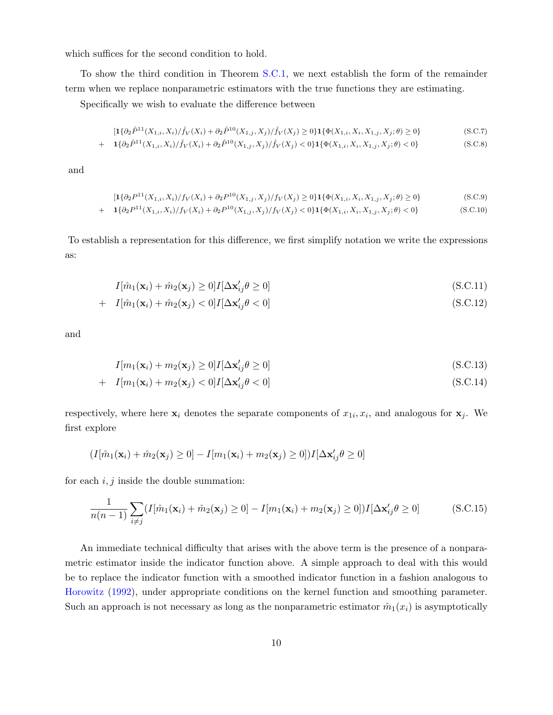which suffices for the second condition to hold.

To show the third condition in Theorem [S.C.1,](#page-7-0) we next establish the form of the remainder term when we replace nonparametric estimators with the true functions they are estimating.

Specifically we wish to evaluate the difference between

$$
[\mathbf{1}\{\partial_2 \hat{P}^{11}(X_{1,i}, X_i)/\hat{f}_V(X_i) + \partial_2 \hat{P}^{10}(X_{1,j}, X_j)/\hat{f}_V(X_j) \ge 0\} \mathbf{1}\{\Phi(X_{1,i}, X_i, X_{1,j}, X_j; \theta) \ge 0\} \tag{S.C.7}
$$

+ 
$$
1{\{\partial_2 \hat{P}^{11}(X_{1,i}, X_i)/\hat{f}_V(X_i) + \partial_2 \hat{P}^{10}(X_{1,j}, X_j)/\hat{f}_V(X_j) < 0\}} 1{\{\Phi(X_{1,i}, X_i, X_{1,j}, X_j; \theta) < 0\}}
$$
 (S.C.8)

and

$$
[\mathbf{1}\{\partial_2 P^{11}(X_{1,i}, X_i)/f_V(X_i) + \partial_2 P^{10}(X_{1,j}, X_j)/f_V(X_j) \ge 0\} \mathbf{1}\{\Phi(X_{1,i}, X_i, X_{1,j}, X_j; \theta) \ge 0\} \tag{S.C.9}
$$

+ 
$$
1{\{\partial_2 P^{11}(X_{1,i}, X_i)/f_V(X_i) + \partial_2 P^{10}(X_{1,j}, X_j)/f_V(X_j) < 0\}}\mathbf{1}{\{\Phi(X_{1,i}, X_i, X_{1,j}, X_j; \theta) < 0\}}
$$
 (S.C.10)

To establish a representation for this difference, we first simplify notation we write the expressions as:

$$
I[\hat{m}_1(\mathbf{x}_i) + \hat{m}_2(\mathbf{x}_j) \ge 0]I[\Delta \mathbf{x}'_{ij}\theta \ge 0]
$$
\n(S.C.11)

+ 
$$
I[\hat{m}_1(\mathbf{x}_i) + \hat{m}_2(\mathbf{x}_j) < 0]I[\Delta \mathbf{x}'_{ij}\theta < 0]
$$
 (S.C.12)

and

$$
I[m_1(\mathbf{x}_i) + m_2(\mathbf{x}_j) \ge 0]I[\Delta \mathbf{x}'_{ij}\theta \ge 0]
$$
\n(S.C.13)

+ 
$$
I[m_1(\mathbf{x}_i) + m_2(\mathbf{x}_j) < 0]I[\Delta \mathbf{x}'_{ij}\theta < 0]
$$
 (S.C.14)

respectively, where here  $x_i$  denotes the separate components of  $x_{1i}, x_i$ , and analogous for  $x_j$ . We first explore

<span id="page-9-0"></span>
$$
(I[\hat{m}_1(\mathbf{x}_i) + \hat{m}_2(\mathbf{x}_j) \geq 0] - I[m_1(\mathbf{x}_i) + m_2(\mathbf{x}_j) \geq 0])I[\Delta \mathbf{x}'_{ij}\theta \geq 0]
$$

for each  $i, j$  inside the double summation:

$$
\frac{1}{n(n-1)}\sum_{i\neq j}(I[\hat{m}_1(\mathbf{x}_i)+\hat{m}_2(\mathbf{x}_j)\geq 0]-I[m_1(\mathbf{x}_i)+m_2(\mathbf{x}_j)\geq 0])I[\Delta \mathbf{x}'_{ij}\theta\geq 0]
$$
(S.C.15)

An immediate technical difficulty that arises with the above term is the presence of a nonparametric estimator inside the indicator function above. A simple approach to deal with this would be to replace the indicator function with a smoothed indicator function in a fashion analogous to [Horowitz](#page-28-7) [\(1992\)](#page-28-7), under appropriate conditions on the kernel function and smoothing parameter. Such an approach is not necessary as long as the nonparametric estimator  $\hat{m}_1(x_i)$  is asymptotically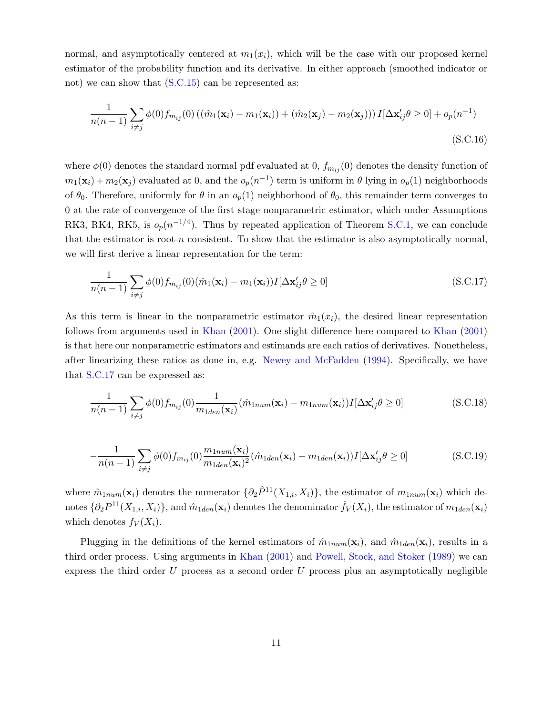normal, and asymptotically centered at  $m_1(x_i)$ , which will be the case with our proposed kernel estimator of the probability function and its derivative. In either approach (smoothed indicator or not) we can show that  $(S.C.15)$  can be represented as:

<span id="page-10-2"></span>
$$
\frac{1}{n(n-1)}\sum_{i\neq j}\phi(0)f_{m_{ij}}(0) ((\hat{m}_1(\mathbf{x}_i) - m_1(\mathbf{x}_i)) + (\hat{m}_2(\mathbf{x}_j) - m_2(\mathbf{x}_j)))I[\Delta \mathbf{x}'_{ij}\theta \ge 0] + o_p(n^{-1})
$$
\n(S.C.16)

where  $\phi(0)$  denotes the standard normal pdf evaluated at 0,  $f_{m_{ij}}(0)$  denotes the density function of  $m_1(\mathbf{x}_i) + m_2(\mathbf{x}_j)$  evaluated at 0, and the  $o_p(n^{-1})$  term is uniform in  $\theta$  lying in  $o_p(1)$  neighborhoods of  $\theta_0$ . Therefore, uniformly for  $\theta$  in an  $o_p(1)$  neighborhood of  $\theta_0$ , this remainder term converges to 0 at the rate of convergence of the first stage nonparametric estimator, which under Assumptions RK3, RK4, RK5, is  $o_p(n^{-1/4})$ . Thus by repeated application of Theorem [S.C.1,](#page-7-0) we can conclude that the estimator is root- $n$  consistent. To show that the estimator is also asymptotically normal, we will first derive a linear representation for the term:

<span id="page-10-0"></span>
$$
\frac{1}{n(n-1)}\sum_{i\neq j}\phi(0)f_{m_{ij}}(0)(\hat{m}_1(\mathbf{x}_i)-m_1(\mathbf{x}_i))I[\Delta\mathbf{x}'_{ij}\theta\geq 0]
$$
\n(S.C.17)

As this term is linear in the nonparametric estimator  $\hat{m}_1(x_i)$ , the desired linear representation follows from arguments used in [Khan](#page-28-1) [\(2001\)](#page-28-1). One slight difference here compared to [Khan](#page-28-1) [\(2001\)](#page-28-1) is that here our nonparametric estimators and estimands are each ratios of derivatives. Nonetheless, after linearizing these ratios as done in, e.g. [Newey and McFadden](#page-28-5) [\(1994\)](#page-28-5). Specifically, we have that [S.C.17](#page-10-0) can be expressed as:

<span id="page-10-1"></span>
$$
\frac{1}{n(n-1)}\sum_{i\neq j}\phi(0)f_{m_{ij}}(0)\frac{1}{m_{1den}(\mathbf{x}_i)}(\hat{m}_{1num}(\mathbf{x}_i)-m_{1num}(\mathbf{x}_i))I[\Delta\mathbf{x}'_{ij}\theta\geq 0]
$$
(S.C.18)

$$
-\frac{1}{n(n-1)}\sum_{i\neq j}\phi(0)f_{m_{ij}}(0)\frac{m_{1num}(\mathbf{x}_i)}{m_{1den}(\mathbf{x}_i)^2}(\hat{m}_{1den}(\mathbf{x}_i)-m_{1den}(\mathbf{x}_i))I[\Delta\mathbf{x}'_{ij}\theta\geq 0]
$$
(S.C.19)

where  $\hat{m}_{1num}(\mathbf{x}_i)$  denotes the numerator  $\{\partial_2 \hat{P}^{11}(X_{1,i}, X_i)\}\)$ , the estimator of  $m_{1num}(\mathbf{x}_i)$  which denotes  $\{\partial_2 P^{11}(X_{1,i}, X_i)\}$ , and  $\hat{m}_{1den}(\mathbf{x}_i)$  denotes the denominator  $\hat{f}_V(X_i)$ , the estimator of  $m_{1den}(\mathbf{x}_i)$ which denotes  $f_V(X_i)$ .

Plugging in the definitions of the kernel estimators of  $\hat{m}_{1num}(\mathbf{x}_i)$ , and  $\hat{m}_{1den}(\mathbf{x}_i)$ , results in a third order process. Using arguments in [Khan](#page-28-1) [\(2001\)](#page-28-1) and [Powell, Stock, and Stoker](#page-28-8) [\(1989\)](#page-28-8) we can express the third order  $U$  process as a second order  $U$  process plus an asymptotically negligible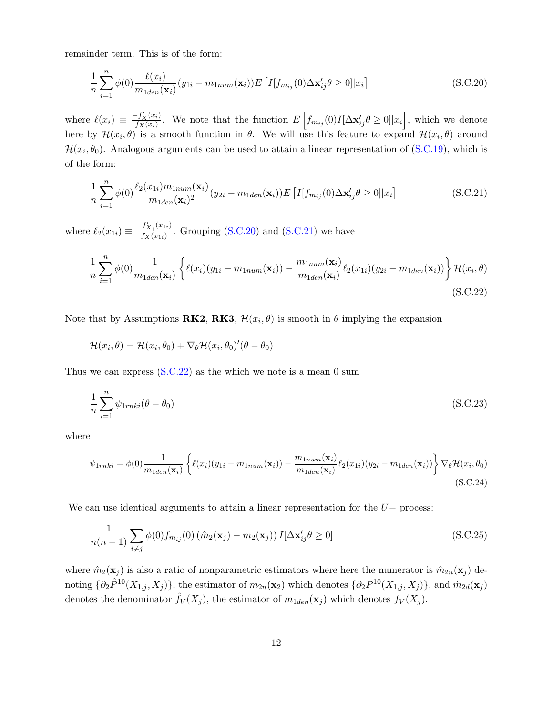remainder term. This is of the form:

<span id="page-11-0"></span>
$$
\frac{1}{n}\sum_{i=1}^{n}\phi(0)\frac{\ell(x_i)}{m_{1den}(\mathbf{x}_i)}(y_{1i}-m_{1num}(\mathbf{x}_i))E\left[I[f_{m_{ij}}(0)\Delta\mathbf{x}'_{ij}\theta\geq 0]|x_i\right]
$$
(S.C.20)

where  $\ell(x_i) \equiv \frac{-f'_X(x_i)}{f_X(x_i)}$  $\frac{f'_X(x_i)}{f_X(x_i)}$ . We note that the function  $E\left[f_{m_{ij}}(0)I[\Delta \mathbf{x}'_{ij}\theta \geq 0]|x_i\right]$ , which we denote here by  $\mathcal{H}(x_i, \theta)$  is a smooth function in  $\theta$ . We will use this feature to expand  $\mathcal{H}(x_i, \theta)$  around  $\mathcal{H}(x_i, \theta_0)$ . Analogous arguments can be used to attain a linear representation of [\(S.C.19\)](#page-10-1), which is of the form:

<span id="page-11-2"></span><span id="page-11-1"></span>
$$
\frac{1}{n}\sum_{i=1}^{n}\phi(0)\frac{\ell_2(x_{1i})m_{1num}(\mathbf{x}_i)}{m_{1den}(\mathbf{x}_i)^2}(y_{2i}-m_{1den}(\mathbf{x}_i))E\left[I[f_{m_{ij}}(0)\Delta\mathbf{x}'_{ij}\theta\geq 0]|x_i\right]
$$
(S.C.21)

where  $\ell_2(x_{1i}) \equiv \frac{-f'_{X_1}(x_{1i})}{f_X(x_{1i})}$  $\frac{f_{X_1}(x_1)}{f_X(x_{1i})}$ . Grouping [\(S.C.20\)](#page-11-0) and [\(S.C.21\)](#page-11-1) we have

$$
\frac{1}{n}\sum_{i=1}^{n}\phi(0)\frac{1}{m_{1den}(\mathbf{x}_{i})}\left\{\ell(x_{i})(y_{1i}-m_{1num}(\mathbf{x}_{i}))-\frac{m_{1num}(\mathbf{x}_{i})}{m_{1den}(\mathbf{x}_{i})}\ell_{2}(x_{1i})(y_{2i}-m_{1den}(\mathbf{x}_{i}))\right\}\mathcal{H}(x_{i},\theta)
$$
\n(S.C.22)

Note that by Assumptions **RK2**, **RK3**,  $\mathcal{H}(x_i, \theta)$  is smooth in  $\theta$  implying the expansion

$$
\mathcal{H}(x_i, \theta) = \mathcal{H}(x_i, \theta_0) + \nabla_{\theta} \mathcal{H}(x_i, \theta_0)'(\theta - \theta_0)
$$

Thus we can express  $(S.C.22)$  as the which we note is a mean 0 sum

$$
\frac{1}{n} \sum_{i=1}^{n} \psi_{1rnki}(\theta - \theta_0)
$$
\n(S.C.23)

where

$$
\psi_{1rnki} = \phi(0) \frac{1}{m_{1den}(\mathbf{x}_i)} \left\{ \ell(x_i)(y_{1i} - m_{1num}(\mathbf{x}_i)) - \frac{m_{1num}(\mathbf{x}_i)}{m_{1den}(\mathbf{x}_i)} \ell_2(x_{1i})(y_{2i} - m_{1den}(\mathbf{x}_i)) \right\} \nabla_{\theta} \mathcal{H}(x_i, \theta_0)
$$
\n(S.C.24)

We can use identical arguments to attain a linear representation for the  $U-$  process:

$$
\frac{1}{n(n-1)}\sum_{i\neq j}\phi(0)f_{m_{ij}}(0)\left(\hat{m}_2(\mathbf{x}_j)-m_2(\mathbf{x}_j)\right)I[\Delta\mathbf{x}'_{ij}\theta\geq 0]
$$
\n(S.C.25)

where  $\hat{m}_2(\mathbf{x}_j)$  is also a ratio of nonparametric estimators where here the numerator is  $\hat{m}_{2n}(\mathbf{x}_j)$  denoting  $\{\partial_2 \hat{P}^{10}(X_{1,j}, X_j)\},\$  the estimator of  $m_{2n}(\mathbf{x}_2)$  which denotes  $\{\partial_2 P^{10}(X_{1,j}, X_j)\},\$  and  $\hat{m}_{2d}(\mathbf{x}_j)$ denotes the denominator  $\hat{f}_V(X_j)$ , the estimator of  $m_{1den}(\mathbf{x}_j)$  which denotes  $f_V(X_j)$ .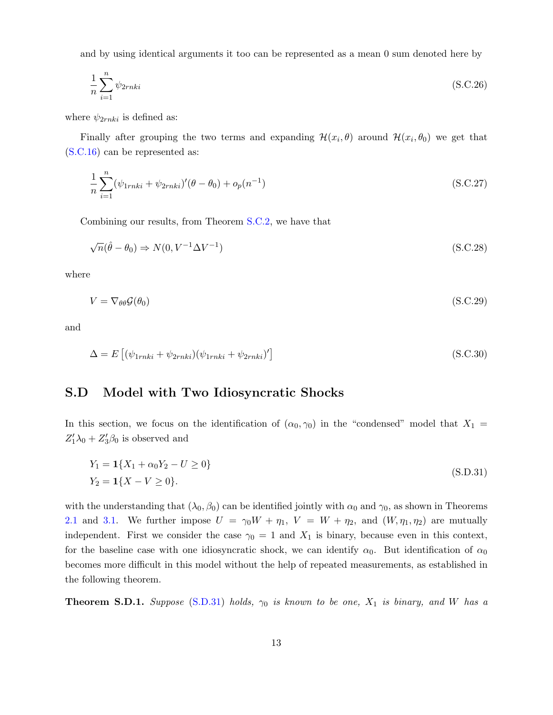and by using identical arguments it too can be represented as a mean 0 sum denoted here by

$$
\frac{1}{n} \sum_{i=1}^{n} \psi_{2rnki} \tag{S.C.26}
$$

where  $\psi_{2rnki}$  is defined as:

Finally after grouping the two terms and expanding  $\mathcal{H}(x_i,\theta)$  around  $\mathcal{H}(x_i,\theta_0)$  we get that [\(S.C.16\)](#page-10-2) can be represented as:

$$
\frac{1}{n} \sum_{i=1}^{n} (\psi_{1rnki} + \psi_{2rnki})' (\theta - \theta_0) + o_p(n^{-1})
$$
\n(S.C.27)

Combining our results, from Theorem [S.C.2,](#page-8-0) we have that

$$
\sqrt{n}(\hat{\theta} - \theta_0) \Rightarrow N(0, V^{-1} \Delta V^{-1})
$$
\n(S.C.28)

where

$$
V = \nabla_{\theta\theta} \mathcal{G}(\theta_0) \tag{S.C.29}
$$

and

$$
\Delta = E\left[ (\psi_{1rnki} + \psi_{2rnki})(\psi_{1rnki} + \psi_{2rnki})'\right]
$$
\n(S.C.30)

# <span id="page-12-0"></span>S.D Model with Two Idiosyncratic Shocks

In this section, we focus on the identification of  $(\alpha_0, \gamma_0)$  in the "condensed" model that  $X_1 =$  $Z_1'\lambda_0 + Z_3'\beta_0$  is observed and

<span id="page-12-2"></span>
$$
Y_1 = \mathbf{1}\{X_1 + \alpha_0 Y_2 - U \ge 0\}
$$
  
\n
$$
Y_2 = \mathbf{1}\{X - V \ge 0\}.
$$
  
\n(S.D.31)

with the understanding that  $(\lambda_0, \beta_0)$  can be identified jointly with  $\alpha_0$  and  $\gamma_0$ , as shown in Theorems [2.1](#page-0-1) and [3.1.](#page-7-0) We further impose  $U = \gamma_0 W + \eta_1$ ,  $V = W + \eta_2$ , and  $(W, \eta_1, \eta_2)$  are mutually independent. First we consider the case  $\gamma_0 = 1$  and  $X_1$  is binary, because even in this context, for the baseline case with one idiosyncratic shock, we can identify  $\alpha_0$ . But identification of  $\alpha_0$ becomes more difficult in this model without the help of repeated measurements, as established in the following theorem.

<span id="page-12-1"></span>**Theorem S.D.1.** Suppose [\(S.D.31\)](#page-12-2) holds,  $\gamma_0$  is known to be one,  $X_1$  is binary, and W has a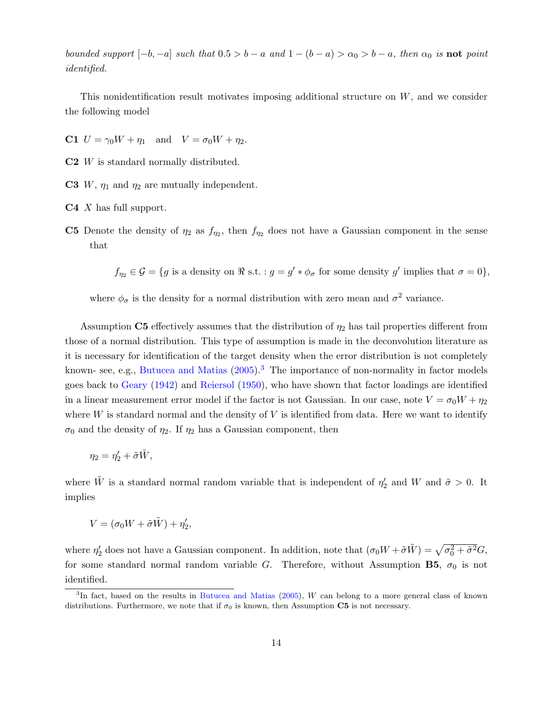bounded support  $[-b, -a]$  such that  $0.5 > b - a$  and  $1 - (b - a) > \alpha_0 > b - a$ , then  $\alpha_0$  is **not** point identified.

This nonidentification result motivates imposing additional structure on W, and we consider the following model

**C1**  $U = \gamma_0 W + \eta_1$  and  $V = \sigma_0 W + \eta_2$ .

- C2 W is standard normally distributed.
- **C3** W,  $\eta_1$  and  $\eta_2$  are mutually independent.
- $C4$  X has full support.
- **C5** Denote the density of  $\eta_2$  as  $f_{\eta_2}$ , then  $f_{\eta_2}$  does not have a Gaussian component in the sense that

 $f_{\eta_2} \in \mathcal{G} = \{g \text{ is a density on } \Re \text{ s.t.} : g = g' * \phi_\sigma \text{ for some density } g' \text{ implies that } \sigma = 0\},\$ 

where  $\phi_{\sigma}$  is the density for a normal distribution with zero mean and  $\sigma^2$  variance.

Assumption C5 effectively assumes that the distribution of  $\eta_2$  has tail properties different from those of a normal distribution. This type of assumption is made in the deconvolution literature as it is necessary for identification of the target density when the error distribution is not completely known- see, e.g., [Butucea and Matias](#page-27-1)  $(2005).<sup>3</sup>$  $(2005).<sup>3</sup>$  $(2005).<sup>3</sup>$  $(2005).<sup>3</sup>$  The importance of non-normality in factor models goes back to [Geary](#page-28-9) [\(1942\)](#page-28-9) and [Reiersol](#page-28-10) [\(1950\)](#page-28-10), who have shown that factor loadings are identified in a linear measurement error model if the factor is not Gaussian. In our case, note  $V = \sigma_0 W + \eta_2$ where  $W$  is standard normal and the density of  $V$  is identified from data. Here we want to identify  $\sigma_0$  and the density of  $\eta_2$ . If  $\eta_2$  has a Gaussian component, then

$$
\eta_2=\eta_2'+\tilde{\sigma}\tilde{W},
$$

where  $\tilde{W}$  is a standard normal random variable that is independent of  $\eta'_2$  and W and  $\tilde{\sigma} > 0$ . It implies

$$
V=(\sigma_0 W+\tilde{\sigma} \tilde{W})+\eta'_2,
$$

where  $\eta'_2$  does not have a Gaussian component. In addition, note that  $(\sigma_0 W + \tilde{\sigma} \tilde{W}) = \sqrt{\sigma_0^2 + \tilde{\sigma}^2} G$ , for some standard normal random variable G. Therefore, without Assumption B5,  $\sigma_0$  is not identified.

<span id="page-13-0"></span><sup>&</sup>lt;sup>3</sup>In fact, based on the results in [Butucea and Matias](#page-27-1) [\(2005\)](#page-27-1), W can belong to a more general class of known distributions. Furthermore, we note that if  $\sigma_0$  is known, then Assumption C5 is not necessary.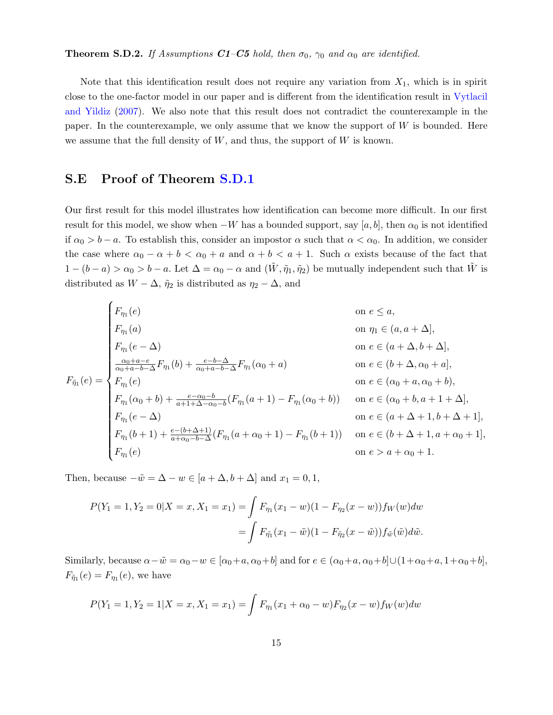<span id="page-14-1"></span>Note that this identification result does not require any variation from  $X_1$ , which is in spirit close to the one-factor model in our paper and is different from the identification result in [Vytlacil](#page-29-0) [and Yildiz](#page-29-0) [\(2007\)](#page-29-0). We also note that this result does not contradict the counterexample in the paper. In the counterexample, we only assume that we know the support of  $W$  is bounded. Here we assume that the full density of  $W$ , and thus, the support of  $W$  is known.

# <span id="page-14-0"></span>S.E Proof of Theorem [S.D.1](#page-12-1)

Our first result for this model illustrates how identification can become more difficult. In our first result for this model, we show when  $-W$  has a bounded support, say [a, b], then  $\alpha_0$  is not identified if  $\alpha_0 > b - a$ . To establish this, consider an impostor  $\alpha$  such that  $\alpha < \alpha_0$ . In addition, we consider the case where  $\alpha_0 - \alpha + b < \alpha_0 + a$  and  $\alpha + b < a + 1$ . Such  $\alpha$  exists because of the fact that  $1-(b-a)>\alpha_0>b-a$ . Let  $\Delta=\alpha_0-\alpha$  and  $(\tilde{W},\tilde{\eta}_1,\tilde{\eta}_2)$  be mutually independent such that  $\tilde{W}$  is distributed as  $W - \Delta$ ,  $\tilde{\eta}_2$  is distributed as  $\eta_2 - \Delta$ , and

$$
F_{\eta_1}(e)
$$
 on  $e \le a$ ,  
\n
$$
F_{\eta_1}(a)
$$
 on  $\eta_1 \in (a, a + \Delta]$ ,  
\n
$$
F_{\eta_1}(e - \Delta)
$$
 on  $e \in (a + \Delta, b + \Delta]$ ,  
\n
$$
F_{\eta_1}(e) = \begin{cases} \frac{\alpha_0 + a - e}{\alpha_0 + a - b - \Delta} F_{\eta_1}(b) + \frac{e - b - \Delta}{\alpha_0 + a - b - \Delta} F_{\eta_1}(\alpha_0 + a) & \text{on } e \in (b + \Delta, \alpha_0 + a], \\ F_{\eta_1}(e) & \text{on } e \in (b + \Delta, \alpha_0 + a], \\ F_{\eta_1}(e) & \text{on } e \in (\alpha_0 + a, \alpha_0 + b), \\ F_{\eta_1}(\alpha_0 + b) + \frac{e - \alpha_0 - b}{a + 1 + \Delta - \alpha_0 - b} (F_{\eta_1}(a + 1) - F_{\eta_1}(\alpha_0 + b)) & \text{on } e \in (\alpha_0 + b, a + 1 + \Delta], \\ F_{\eta_1}(e - \Delta) & \text{on } e \in (a + \Delta + 1, b + \Delta + 1], \\ F_{\eta_1}(e) & \text{on } e > a + \alpha_0 + 1. \end{cases}
$$

Then, because  $-\tilde{w} = \Delta - w \in [a + \Delta, b + \Delta]$  and  $x_1 = 0, 1$ ,

$$
P(Y_1 = 1, Y_2 = 0 | X = x, X_1 = x_1) = \int F_{\eta_1}(x_1 - w)(1 - F_{\eta_2}(x - w)) f_W(w) dw
$$
  
= 
$$
\int F_{\tilde{\eta_1}}(x_1 - \tilde{w})(1 - F_{\tilde{\eta_2}}(x - \tilde{w})) f_{\tilde{w}}(\tilde{w}) d\tilde{w}.
$$

Similarly, because  $\alpha - \tilde{w} = \alpha_0 - w \in [\alpha_0 + a, \alpha_0 + b]$  and for  $e \in (\alpha_0 + a, \alpha_0 + b] \cup (1 + \alpha_0 + a, 1 + \alpha_0 + b]$ ,  $F_{\tilde{\eta}_1}(e) = F_{\eta_1}(e)$ , we have

$$
P(Y_1 = 1, Y_2 = 1 | X = x, X_1 = x_1) = \int F_{\eta_1}(x_1 + \alpha_0 - w) F_{\eta_2}(x - w) f_W(w) dw
$$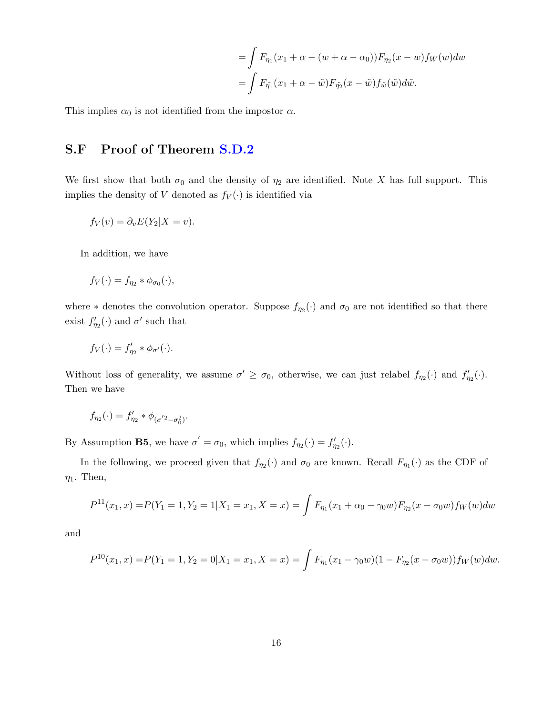$$
= \int F_{\eta_1}(x_1 + \alpha - (w + \alpha - \alpha_0)) F_{\eta_2}(x - w) f_W(w) dw
$$
  
= 
$$
\int F_{\tilde{\eta_1}}(x_1 + \alpha - \tilde{w}) F_{\tilde{\eta_2}}(x - \tilde{w}) f_{\tilde{w}}(\tilde{w}) d\tilde{w}.
$$

This implies  $\alpha_0$  is not identified from the impostor  $\alpha$ .

# <span id="page-15-0"></span>S.F Proof of Theorem [S.D.2](#page-14-1)

We first show that both  $\sigma_0$  and the density of  $\eta_2$  are identified. Note X has full support. This implies the density of V denoted as  $f_V(\cdot)$  is identified via

$$
f_V(v) = \partial_v E(Y_2 | X = v).
$$

In addition, we have

$$
f_V(\cdot) = f_{\eta_2} * \phi_{\sigma_0}(\cdot),
$$

where  $*$  denotes the convolution operator. Suppose  $f_{\eta_2}(\cdot)$  and  $\sigma_0$  are not identified so that there exist  $f'_{\eta_2}(\cdot)$  and  $\sigma'$  such that

$$
f_V(\cdot) = f'_{\eta_2} * \phi_{\sigma'}(\cdot).
$$

Without loss of generality, we assume  $\sigma' \ge \sigma_0$ , otherwise, we can just relabel  $f_{\eta_2}(\cdot)$  and  $f'_{\eta_2}(\cdot)$ . Then we have

$$
f_{\eta_2}(\cdot)=f_{\eta_2}'+\phi_{(\sigma^{'2}-\sigma_0^2)}.
$$

By Assumption **B5**, we have  $\sigma' = \sigma_0$ , which implies  $f_{\eta_2}(\cdot) = f'_{\eta_2}(\cdot)$ .

In the following, we proceed given that  $f_{\eta_2}(\cdot)$  and  $\sigma_0$  are known. Recall  $F_{\eta_1}(\cdot)$  as the CDF of  $\eta_1$ . Then,

$$
P^{11}(x_1, x) = P(Y_1 = 1, Y_2 = 1 | X_1 = x_1, X = x) = \int F_{\eta_1}(x_1 + \alpha_0 - \gamma_0 w) F_{\eta_2}(x - \sigma_0 w) f_W(w) dw
$$

and

$$
P^{10}(x_1,x) = P(Y_1 = 1, Y_2 = 0 | X_1 = x_1, X = x) = \int F_{\eta_1}(x_1 - \gamma_0 w)(1 - F_{\eta_2}(x - \sigma_0 w)) f_W(w) dw.
$$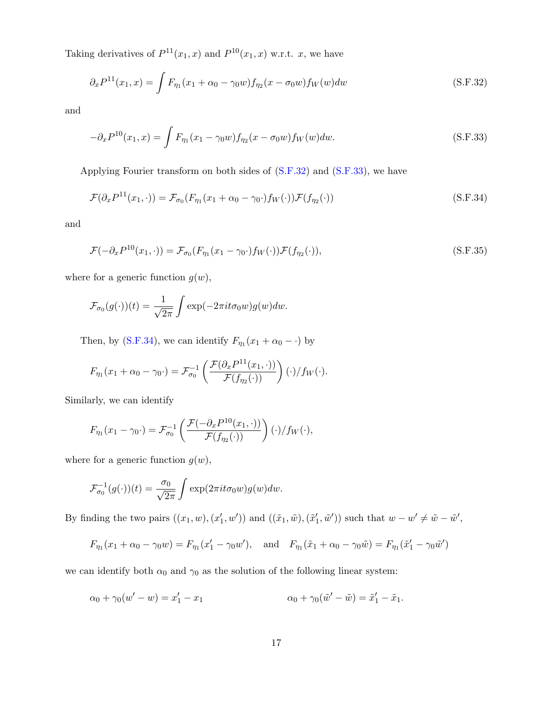Taking derivatives of  $P^{11}(x_1, x)$  and  $P^{10}(x_1, x)$  w.r.t. x, we have

<span id="page-16-0"></span>
$$
\partial_x P^{11}(x_1, x) = \int F_{\eta_1}(x_1 + \alpha_0 - \gamma_0 w) f_{\eta_2}(x - \sigma_0 w) f_W(w) dw \tag{S.F.32}
$$

and

<span id="page-16-1"></span>
$$
-\partial_x P^{10}(x_1, x) = \int F_{\eta_1}(x_1 - \gamma_0 w) f_{\eta_2}(x - \sigma_0 w) f_W(w) dw.
$$
 (S.F.33)

Applying Fourier transform on both sides of [\(S.F.32\)](#page-16-0) and [\(S.F.33\)](#page-16-1), we have

<span id="page-16-2"></span>
$$
\mathcal{F}(\partial_x P^{11}(x_1,\cdot)) = \mathcal{F}_{\sigma_0}(F_{\eta_1}(x_1+\alpha_0-\gamma_0\cdot)f_W(\cdot))\mathcal{F}(f_{\eta_2}(\cdot))
$$
\n(S.F.34)

and

$$
\mathcal{F}(-\partial_x P^{10}(x_1,\cdot)) = \mathcal{F}_{\sigma_0}(F_{\eta_1}(x_1-\gamma_0\cdot)f_W(\cdot))\mathcal{F}(f_{\eta_2}(\cdot)),\tag{S.F.35}
$$

where for a generic function  $g(w)$ ,

$$
\mathcal{F}_{\sigma_0}(g(\cdot))(t) = \frac{1}{\sqrt{2\pi}} \int \exp(-2\pi i t \sigma_0 w) g(w) dw.
$$

Then, by [\(S.F.34\)](#page-16-2), we can identify  $F_{\eta_1}(x_1 + \alpha_0 - \cdot)$  by

$$
F_{\eta_1}(x_1+\alpha_0-\gamma_0\cdot)=\mathcal{F}_{\sigma_0}^{-1}\left(\frac{\mathcal{F}(\partial_x P^{11}(x_1,\cdot))}{\mathcal{F}(f_{\eta_2}(\cdot))}\right)(\cdot)/f_W(\cdot).
$$

Similarly, we can identify

$$
F_{\eta_1}(x_1 - \gamma_0 \cdot) = \mathcal{F}_{\sigma_0}^{-1}\left(\frac{\mathcal{F}(-\partial_x P^{10}(x_1, \cdot))}{\mathcal{F}(f_{\eta_2}(\cdot))}\right)(\cdot)/f_W(\cdot),
$$

where for a generic function  $g(w)$ ,

$$
\mathcal{F}_{\sigma_0}^{-1}(g(\cdot))(t) = \frac{\sigma_0}{\sqrt{2\pi}} \int \exp(2\pi i t \sigma_0 w) g(w) dw.
$$

By finding the two pairs  $((x_1, w), (x'_1, w'))$  and  $((\tilde{x}_1, \tilde{w}), (\tilde{x}'_1, \tilde{w}'))$  such that  $w - w' \neq \tilde{w} - \tilde{w}'$ ,

$$
F_{\eta_1}(x_1 + \alpha_0 - \gamma_0 w) = F_{\eta_1}(x_1' - \gamma_0 w'), \text{ and } F_{\eta_1}(\tilde{x}_1 + \alpha_0 - \gamma_0 \tilde{w}) = F_{\eta_1}(\tilde{x}_1' - \gamma_0 \tilde{w}')
$$

we can identify both  $\alpha_0$  and  $\gamma_0$  as the solution of the following linear system:

$$
\alpha_0 + \gamma_0 (w' - w) = x'_1 - x_1 \qquad \alpha_0 + \gamma_0 (\tilde{w}' - \tilde{w}) = \tilde{x}'_1 - \tilde{x}_1.
$$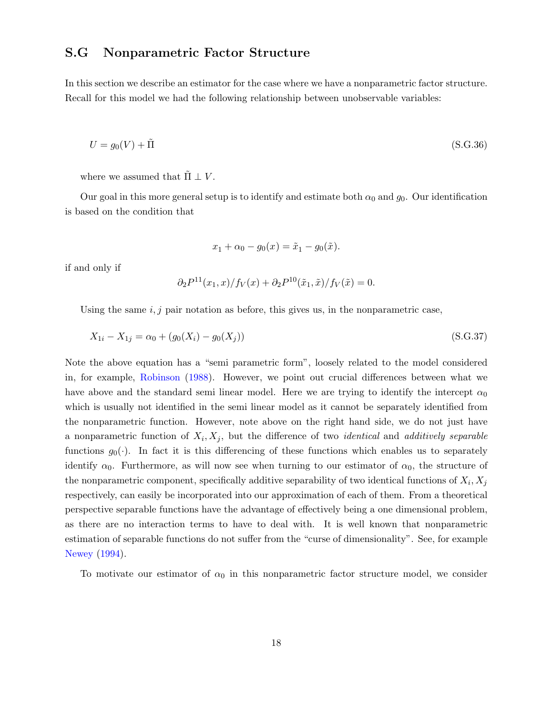## <span id="page-17-0"></span>S.G Nonparametric Factor Structure

In this section we describe an estimator for the case where we have a nonparametric factor structure. Recall for this model we had the following relationship between unobservable variables:

$$
U = g_0(V) + \tilde{\Pi}
$$
\n(S.G.36)

where we assumed that  $\Pi \perp V$ .

Our goal in this more general setup is to identify and estimate both  $\alpha_0$  and  $g_0$ . Our identification is based on the condition that

$$
x_1 + \alpha_0 - g_0(x) = \tilde{x}_1 - g_0(\tilde{x}).
$$

if and only if

$$
\partial_2 P^{11}(x_1, x) / f_V(x) + \partial_2 P^{10}(\tilde{x}_1, \tilde{x}) / f_V(\tilde{x}) = 0.
$$

Using the same  $i, j$  pair notation as before, this gives us, in the nonparametric case,

$$
X_{1i} - X_{1j} = \alpha_0 + (g_0(X_i) - g_0(X_j))
$$
\n(S.G.37)

Note the above equation has a "semi parametric form", loosely related to the model considered in, for example, [Robinson](#page-29-4) [\(1988\)](#page-29-4). However, we point out crucial differences between what we have above and the standard semi-linear model. Here we are trying to identify the intercept  $\alpha_0$ which is usually not identified in the semi linear model as it cannot be separately identified from the nonparametric function. However, note above on the right hand side, we do not just have a nonparametric function of  $X_i, X_j$ , but the difference of two *identical* and *additively separable* functions  $g_0(\cdot)$ . In fact it is this differencing of these functions which enables us to separately identify  $\alpha_0$ . Furthermore, as will now see when turning to our estimator of  $\alpha_0$ , the structure of the nonparametric component, specifically additive separability of two identical functions of  $X_i, X_j$ respectively, can easily be incorporated into our approximation of each of them. From a theoretical perspective separable functions have the advantage of effectively being a one dimensional problem, as there are no interaction terms to have to deal with. It is well known that nonparametric estimation of separable functions do not suffer from the "curse of dimensionality". See, for example [Newey](#page-28-11) [\(1994\)](#page-28-11).

To motivate our estimator of  $\alpha_0$  in this nonparametric factor structure model, we consider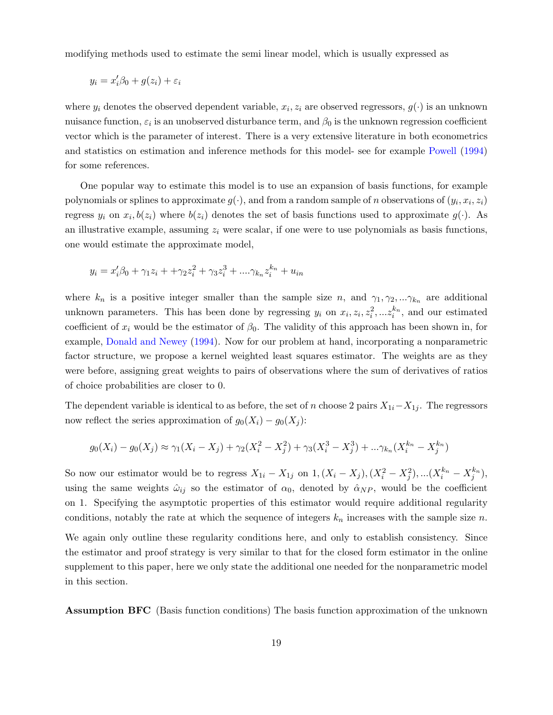modifying methods used to estimate the semi linear model, which is usually expressed as

$$
y_i = x_i'\beta_0 + g(z_i) + \varepsilon_i
$$

where  $y_i$  denotes the observed dependent variable,  $x_i, z_i$  are observed regressors,  $g(\cdot)$  is an unknown nuisance function,  $\varepsilon_i$  is an unobserved disturbance term, and  $\beta_0$  is the unknown regression coefficient vector which is the parameter of interest. There is a very extensive literature in both econometrics and statistics on estimation and inference methods for this model- see for example [Powell](#page-28-12) [\(1994\)](#page-28-12) for some references.

One popular way to estimate this model is to use an expansion of basis functions, for example polynomials or splines to approximate  $g(\cdot)$ , and from a random sample of n observations of  $(y_i, x_i, z_i)$ regress  $y_i$  on  $x_i, b(z_i)$  where  $b(z_i)$  denotes the set of basis functions used to approximate  $g(\cdot)$ . As an illustrative example, assuming  $z_i$  were scalar, if one were to use polynomials as basis functions, one would estimate the approximate model,

$$
y_i = x_i'\beta_0 + \gamma_1 z_i + \gamma_2 z_i^2 + \gamma_3 z_i^3 + \dots \gamma_{k_n} z_i^{k_n} + u_{in}
$$

where  $k_n$  is a positive integer smaller than the sample size n, and  $\gamma_1, \gamma_2, \ldots, \gamma_{k_n}$  are additional unknown parameters. This has been done by regressing  $y_i$  on  $x_i, z_i, z_i^2, ... z_i^{k_n}$ , and our estimated coefficient of  $x_i$  would be the estimator of  $\beta_0$ . The validity of this approach has been shown in, for example, [Donald and Newey](#page-28-13) [\(1994\)](#page-28-13). Now for our problem at hand, incorporating a nonparametric factor structure, we propose a kernel weighted least squares estimator. The weights are as they were before, assigning great weights to pairs of observations where the sum of derivatives of ratios of choice probabilities are closer to 0.

The dependent variable is identical to as before, the set of n choose 2 pairs  $X_{1i}-X_{1j}$ . The regressors now reflect the series approximation of  $g_0(X_i) - g_0(X_j)$ :

$$
g_0(X_i) - g_0(X_j) \approx \gamma_1(X_i - X_j) + \gamma_2(X_i^2 - X_j^2) + \gamma_3(X_i^3 - X_j^3) + \dots + \gamma_{k_n}(X_i^{k_n} - X_j^{k_n})
$$

So now our estimator would be to regress  $X_{1i} - X_{1j}$  on  $1, (X_i - X_j), (X_i^2 - X_j^2), ... (X_i^{k_n} - X_j^{k_n}),$ using the same weights  $\hat{\omega}_{ij}$  so the estimator of  $\alpha_0$ , denoted by  $\hat{\alpha}_{NP}$ , would be the coefficient on 1. Specifying the asymptotic properties of this estimator would require additional regularity conditions, notably the rate at which the sequence of integers  $k_n$  increases with the sample size n.

We again only outline these regularity conditions here, and only to establish consistency. Since the estimator and proof strategy is very similar to that for the closed form estimator in the online supplement to this paper, here we only state the additional one needed for the nonparametric model in this section.

Assumption BFC (Basis function conditions) The basis function approximation of the unknown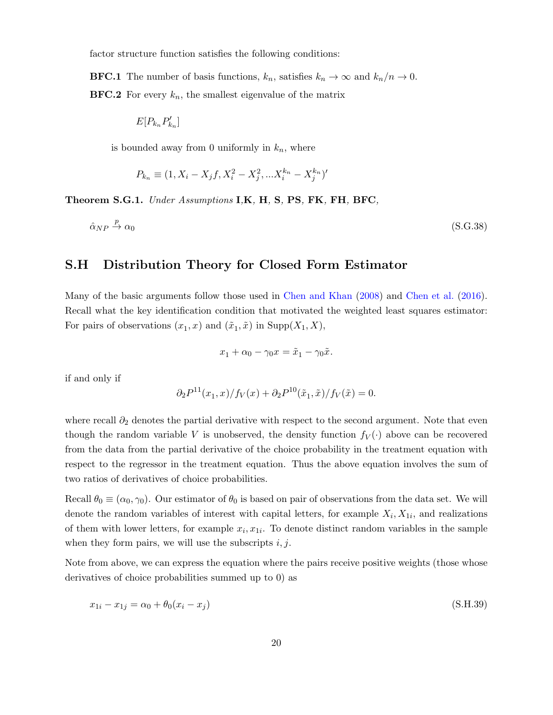factor structure function satisfies the following conditions:

**BFC.1** The number of basis functions,  $k_n$ , satisfies  $k_n \to \infty$  and  $k_n/n \to 0$ . **BFC.2** For every  $k_n$ , the smallest eigenvalue of the matrix

$$
E[P_{k_n}P_{k_n}^{\prime}]
$$

is bounded away from 0 uniformly in  $k_n$ , where

$$
P_{k_n} \equiv (1, X_i - X_j f, X_i^2 - X_j^2, ... X_i^{k_n} - X_j^{k_n})'
$$

Theorem S.G.1. Under Assumptions I,K, H, S, PS, FK, FH, BFC,

$$
\hat{\alpha}_{NP} \xrightarrow{p} \alpha_0 \tag{S.G.38}
$$

## <span id="page-19-0"></span>S.H Distribution Theory for Closed Form Estimator

Many of the basic arguments follow those used in [Chen and Khan](#page-28-14) [\(2008\)](#page-28-14) and [Chen et al.](#page-28-3) [\(2016\)](#page-28-3). Recall what the key identification condition that motivated the weighted least squares estimator: For pairs of observations  $(x_1, x)$  and  $(\tilde{x}_1, \tilde{x})$  in  $\text{Supp}(X_1, X)$ ,

$$
x_1 + \alpha_0 - \gamma_0 x = \tilde{x}_1 - \gamma_0 \tilde{x}.
$$

if and only if

$$
\partial_2 P^{11}(x_1, x) / f_V(x) + \partial_2 P^{10}(\tilde{x}_1, \tilde{x}) / f_V(\tilde{x}) = 0.
$$

where recall  $\partial_2$  denotes the partial derivative with respect to the second argument. Note that even though the random variable V is unobserved, the density function  $f_V(\cdot)$  above can be recovered from the data from the partial derivative of the choice probability in the treatment equation with respect to the regressor in the treatment equation. Thus the above equation involves the sum of two ratios of derivatives of choice probabilities.

Recall  $\theta_0 \equiv (\alpha_0, \gamma_0)$ . Our estimator of  $\theta_0$  is based on pair of observations from the data set. We will denote the random variables of interest with capital letters, for example  $X_i, X_{1i}$ , and realizations of them with lower letters, for example  $x_i, x_{1i}$ . To denote distinct random variables in the sample when they form pairs, we will use the subscripts  $i, j$ .

Note from above, we can express the equation where the pairs receive positive weights (those whose derivatives of choice probabilities summed up to 0) as

$$
x_{1i} - x_{1j} = \alpha_0 + \theta_0 (x_i - x_j) \tag{S.H.39}
$$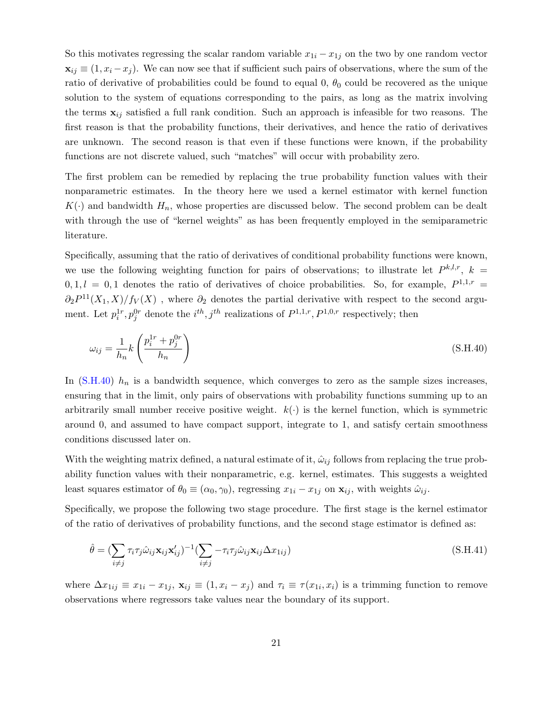So this motivates regressing the scalar random variable  $x_{1i} - x_{1j}$  on the two by one random vector  $\mathbf{x}_{ij} \equiv (1, x_i - x_j)$ . We can now see that if sufficient such pairs of observations, where the sum of the ratio of derivative of probabilities could be found to equal 0,  $\theta_0$  could be recovered as the unique solution to the system of equations corresponding to the pairs, as long as the matrix involving the terms  $x_{ij}$  satisfied a full rank condition. Such an approach is infeasible for two reasons. The first reason is that the probability functions, their derivatives, and hence the ratio of derivatives are unknown. The second reason is that even if these functions were known, if the probability functions are not discrete valued, such "matches" will occur with probability zero.

The first problem can be remedied by replacing the true probability function values with their nonparametric estimates. In the theory here we used a kernel estimator with kernel function  $K(\cdot)$  and bandwidth  $H_n$ , whose properties are discussed below. The second problem can be dealt with through the use of "kernel weights" as has been frequently employed in the semiparametric literature.

Specifically, assuming that the ratio of derivatives of conditional probability functions were known, we use the following weighting function for pairs of observations; to illustrate let  $P^{k,l,r}$ ,  $k =$  $0, 1, l = 0, 1$  denotes the ratio of derivatives of choice probabilities. So, for example,  $P^{1,1,r}$  =  $\partial_2 P^{11}(X_1, X)/f_V(X)$ , where  $\partial_2$  denotes the partial derivative with respect to the second argument. Let  $p_i^{1r}, p_j^{0r}$  denote the  $i^{th}, j^{th}$  realizations of  $P^{1,1,r}, P^{1,0,r}$  respectively; then

<span id="page-20-0"></span>
$$
\omega_{ij} = \frac{1}{h_n} k \left( \frac{p_i^{1r} + p_j^{0r}}{h_n} \right) \tag{S.H.40}
$$

In  $(S.H.40)$  h<sub>n</sub> is a bandwidth sequence, which converges to zero as the sample sizes increases, ensuring that in the limit, only pairs of observations with probability functions summing up to an arbitrarily small number receive positive weight.  $k(\cdot)$  is the kernel function, which is symmetric around 0, and assumed to have compact support, integrate to 1, and satisfy certain smoothness conditions discussed later on.

With the weighting matrix defined, a natural estimate of it,  $\hat{\omega}_{ij}$  follows from replacing the true probability function values with their nonparametric, e.g. kernel, estimates. This suggests a weighted least squares estimator of  $\theta_0 \equiv (\alpha_0, \gamma_0)$ , regressing  $x_{1i} - x_{1j}$  on  $\mathbf{x}_{ij}$ , with weights  $\hat{\omega}_{ij}$ .

Specifically, we propose the following two stage procedure. The first stage is the kernel estimator of the ratio of derivatives of probability functions, and the second stage estimator is defined as:

$$
\hat{\theta} = \left(\sum_{i \neq j} \tau_i \tau_j \hat{\omega}_{ij} \mathbf{x}_{ij} \mathbf{x}'_{ij}\right)^{-1} \left(\sum_{i \neq j} -\tau_i \tau_j \hat{\omega}_{ij} \mathbf{x}_{ij} \Delta x_{1ij}\right)
$$
\n(S.H.41)

where  $\Delta x_{1ij} \equiv x_{1i} - x_{1j}$ ,  $\mathbf{x}_{ij} \equiv (1, x_i - x_j)$  and  $\tau_i \equiv \tau(x_{1i}, x_i)$  is a trimming function to remove observations where regressors take values near the boundary of its support.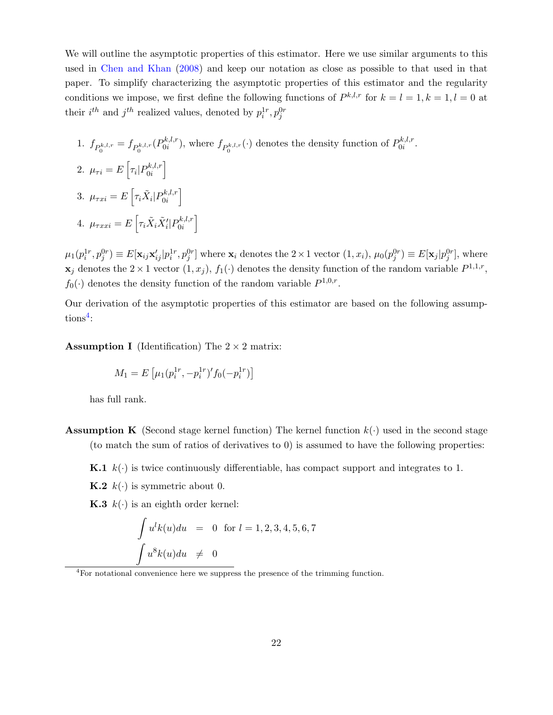We will outline the asymptotic properties of this estimator. Here we use similar arguments to this used in [Chen and Khan](#page-28-14) [\(2008\)](#page-28-14) and keep our notation as close as possible to that used in that paper. To simplify characterizing the asymptotic properties of this estimator and the regularity conditions we impose, we first define the following functions of  $P^{k,l,r}$  for  $k = l = 1, k = 1, l = 0$  at their  $i^{th}$  and  $j^{th}$  realized values, denoted by  $p_i^{1r}, p_j^{0r}$ 

\n- 1. 
$$
f_{P_0^{k,l,r}} = f_{P_0^{k,l,r}}(P_{0i}^{k,l,r})
$$
, where  $f_{P_0^{k,l,r}}(\cdot)$  denotes the density function of  $P_{0i}^{k,l,r}$ .
\n- 2.  $\mu_{\tau i} = E\left[\tau_i | P_{0i}^{k,l,r}\right]$
\n- 3.  $\mu_{\tau xi} = E\left[\tau_i \tilde{X}_i | P_{0i}^{k,l,r}\right]$
\n- 4.  $\mu_{\tau xxi} = E\left[\tau_i \tilde{X}_i \tilde{X}'_i | P_{0i}^{k,l,r}\right]$
\n

 $\mu_1(p_i^{1r}, p_j^{0r}) \equiv E[\mathbf{x}_{ij} \mathbf{x}_{ij}^{\prime} | p_i^{1r}, p_j^{0r}]$  where  $\mathbf{x}_i$  denotes the  $2 \times 1$  vector  $(1, x_i)$ ,  $\mu_0(p_j^{0r}) \equiv E[\mathbf{x}_j | p_j^{0r}]$ , where  $\mathbf{x}_j$  denotes the  $2 \times 1$  vector  $(1, x_j)$ ,  $f_1(\cdot)$  denotes the density function of the random variable  $P^{1,1,r}$ ,  $f_0(\cdot)$  denotes the density function of the random variable  $P^{1,0,r}$ .

Our derivation of the asymptotic properties of this estimator are based on the following assump- $tions<sup>4</sup>$  $tions<sup>4</sup>$  $tions<sup>4</sup>$ :

**Assumption I** (Identification) The  $2 \times 2$  matrix:

$$
M_1 = E\left[\mu_1(p_i^{1r}, -p_i^{1r})' f_0(-p_i^{1r})\right]
$$

has full rank.

- **Assumption K** (Second stage kernel function) The kernel function  $k(\cdot)$  used in the second stage (to match the sum of ratios of derivatives to 0) is assumed to have the following properties:
	- **K.1**  $k(\cdot)$  is twice continuously differentiable, has compact support and integrates to 1.

**K.2**  $k(\cdot)$  is symmetric about 0.

**K.3**  $k(.)$  is an eighth order kernel:

$$
\int u^{l}k(u)du = 0 \text{ for } l = 1, 2, 3, 4, 5, 6, 7
$$

$$
\int u^{8}k(u)du \neq 0
$$

<span id="page-21-0"></span><sup>4</sup>For notational convenience here we suppress the presence of the trimming function.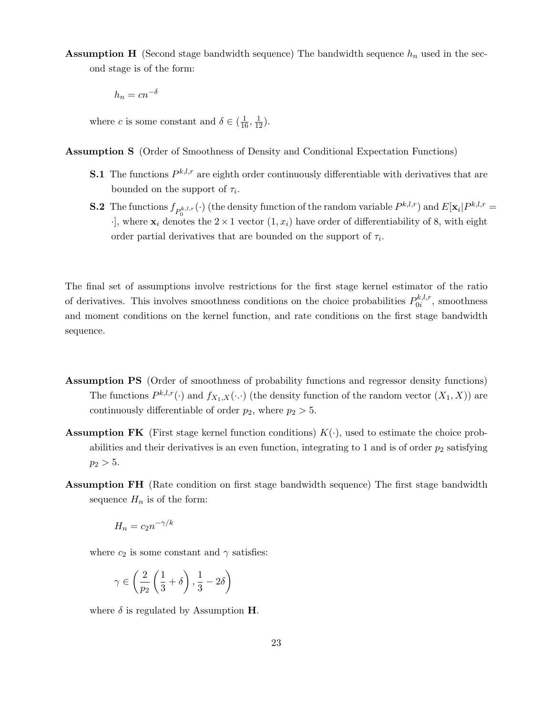**Assumption H** (Second stage bandwidth sequence) The bandwidth sequence  $h_n$  used in the second stage is of the form:

 $h_n = cn^{-\delta}$ 

where *c* is some constant and  $\delta \in (\frac{1}{16}, \frac{1}{12})$ .

Assumption S (Order of Smoothness of Density and Conditional Expectation Functions)

- **S.1** The functions  $P^{k,l,r}$  are eighth order continuously differentiable with derivatives that are bounded on the support of  $\tau_i$ .
- **S.2** The functions  $f_{P_0^{k,l,r}}(\cdot)$  (the density function of the random variable  $P^{k,l,r}$ ) and  $E[\mathbf{x}_i]P^{k,l,r} =$  $\cdot$ ], where  $\mathbf{x}_i$  denotes the  $2 \times 1$  vector  $(1, x_i)$  have order of differentiability of 8, with eight order partial derivatives that are bounded on the support of  $\tau_i$ .

The final set of assumptions involve restrictions for the first stage kernel estimator of the ratio of derivatives. This involves smoothness conditions on the choice probabilities  $P_{0i}^{k,l,r}$  $\delta_0^{\kappa,\iota,r}$ , smoothness and moment conditions on the kernel function, and rate conditions on the first stage bandwidth sequence.

- Assumption PS (Order of smoothness of probability functions and regressor density functions) The functions  $P^{k,l,r}(\cdot)$  and  $f_{X_1,X}(\cdot)$  (the density function of the random vector  $(X_1, X)$ ) are continuously differentiable of order  $p_2$ , where  $p_2 > 5$ .
- **Assumption FK** (First stage kernel function conditions)  $K(\cdot)$ , used to estimate the choice probabilities and their derivatives is an even function, integrating to 1 and is of order  $p_2$  satisfying  $p_2 > 5$ .
- Assumption FH (Rate condition on first stage bandwidth sequence) The first stage bandwidth sequence  $H_n$  is of the form:

$$
H_n = c_2 n^{-\gamma/k}
$$

where  $c_2$  is some constant and  $\gamma$  satisfies:

$$
\gamma \in \left(\frac{2}{p_2}\left(\frac{1}{3} + \delta\right), \frac{1}{3} - 2\delta\right)
$$

where  $\delta$  is regulated by Assumption H.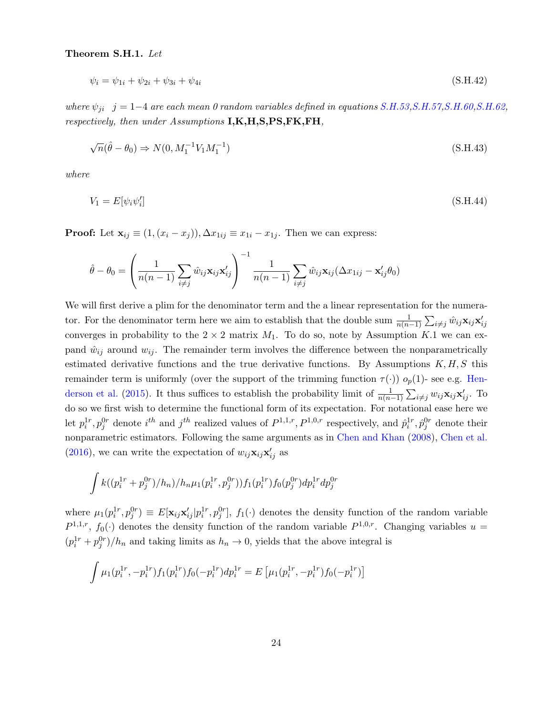### Theorem S.H.1. Let

$$
\psi_i = \psi_{1i} + \psi_{2i} + \psi_{3i} + \psi_{4i} \tag{S.H.42}
$$

where  $\psi_{ji}$  j = 1−4 are each mean 0 random variables defined in equations [S.H.53](#page-26-0)[,S.H.57,](#page-27-2)[S.H.60,](#page-27-3)[S.H.62,](#page-27-4) respectively, then under Assumptions I,K,H,S,PS,FK,FH,

$$
\sqrt{n}(\hat{\theta} - \theta_0) \Rightarrow N(0, M_1^{-1} V_1 M_1^{-1})
$$
\n(S.H.43)

where

$$
V_1 = E[\psi_i \psi_i'] \tag{S.H.44}
$$

**Proof:** Let  $\mathbf{x}_{ij} \equiv (1,(x_i - x_j)), \Delta x_{1ij} \equiv x_{1i} - x_{1j}$ . Then we can express:

$$
\hat{\theta} - \theta_0 = \left(\frac{1}{n(n-1)}\sum_{i \neq j} \hat{w}_{ij} \mathbf{x}_{ij} \mathbf{x}_{ij}'\right)^{-1} \frac{1}{n(n-1)} \sum_{i \neq j} \hat{w}_{ij} \mathbf{x}_{ij} (\Delta x_{1ij} - \mathbf{x}_{ij}' \theta_0)
$$

We will first derive a plim for the denominator term and the a linear representation for the numerator. For the denominator term here we aim to establish that the double sum  $\frac{1}{n(n-1)}\sum_{i\neq j}\hat{w}_{ij}\mathbf{x}_{ij}\mathbf{x}'_{ij}$ converges in probability to the  $2 \times 2$  matrix  $M_1$ . To do so, note by Assumption K.1 we can expand  $\hat{w}_{ij}$  around  $w_{ij}$ . The remainder term involves the difference between the nonparametrically estimated derivative functions and the true derivative functions. By Assumptions  $K, H, S$  this remainder term is uniformly (over the support of the trimming function  $\tau(\cdot)$ )  $o_p(1)$ - see e.g. [Hen](#page-28-6)[derson et al.](#page-28-6) [\(2015\)](#page-28-6). It thus suffices to establish the probability limit of  $\frac{1}{n(n-1)}\sum_{i\neq j}w_{ij}\mathbf{x}_{ij}\mathbf{x}'_{ij}$ . To do so we first wish to determine the functional form of its expectation. For notational ease here we Let  $p_i^{1r}, p_j^{0r}$  denote  $i^{th}$  and  $j^{th}$  realized values of  $P^{1,1,r}, P^{1,0,r}$  respectively, and  $\hat{p}_i^{1r}, \hat{p}_j^{0r}$  denote their nonparametric estimators. Following the same arguments as in [Chen and Khan](#page-28-14) [\(2008\)](#page-28-14), [Chen et al.](#page-28-3) [\(2016\)](#page-28-3), we can write the expectation of  $w_{ij} \mathbf{x}_{ij} \mathbf{x}'_{ij}$  as

$$
\int k((p_i^{1r}+p_j^{0r})/h_n)/h_n\mu_1(p_i^{1r},p_j^{0r}))f_1(p_i^{1r})f_0(p_j^{0r})dp_i^{1r}dp_j^{0r}
$$

where  $\mu_1(p_i^{1r}, p_j^{0r}) \equiv E[\mathbf{x}_{ij} \mathbf{x}_{ij}^{\prime} | p_i^{1r}, p_j^{0r}], f_1(\cdot)$  denotes the density function of the random variable  $P^{1,1,r}$ ,  $f_0(\cdot)$  denotes the density function of the random variable  $P^{1,0,r}$ . Changing variables  $u =$  $(p_i^{1r} + p_j^{0r})/h_n$  and taking limits as  $h_n \to 0$ , yields that the above integral is

$$
\int \mu_1(p_i^{1r}, -p_i^{1r}) f_1(p_i^{1r}) f_0(-p_i^{1r}) dp_i^{1r} = E\left[\mu_1(p_i^{1r}, -p_i^{1r}) f_0(-p_i^{1r})\right]
$$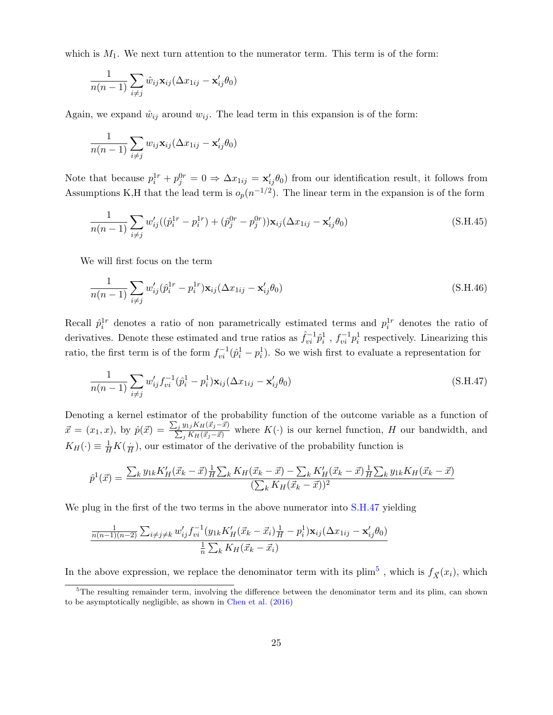which is  $M_1$ . We next turn attention to the numerator term. This term is of the form:

$$
\frac{1}{n(n-1)}\sum_{i\neq j}\hat{w}_{ij}\mathbf{x}_{ij}(\Delta x_{1ij}-\mathbf{x}'_{ij}\theta_0)
$$

Again, we expand  $\hat{w}_{ij}$  around  $w_{ij}$ . The lead term in this expansion is of the form:

$$
\frac{1}{n(n-1)}\sum_{i\neq j}w_{ij}\mathbf{x}_{ij}(\Delta x_{1ij}-\mathbf{x}'_{ij}\theta_0)
$$

Note that because  $p_i^{1r} + p_j^{0r} = 0 \Rightarrow \Delta x_{1ij} = \mathbf{x}'_{ij} \theta_0$  from our identification result, it follows from Assumptions K,H that the lead term is  $o_p(n^{-1/2})$ . The linear term in the expansion is of the form

<span id="page-24-3"></span>
$$
\frac{1}{n(n-1)}\sum_{i\neq j} w'_{ij}((\hat{p}_i^{1r} - p_i^{1r}) + (\hat{p}_j^{0r} - p_j^{0r}))\mathbf{x}_{ij}(\Delta x_{1ij} - \mathbf{x}'_{ij}\theta_0)
$$
\n(S.H.45)

We will first focus on the term

<span id="page-24-2"></span>
$$
\frac{1}{n(n-1)}\sum_{i\neq j} w'_{ij}(\hat{p}_i^{1r} - p_i^{1r})\mathbf{x}_{ij}(\Delta x_{1ij} - \mathbf{x}'_{ij}\theta_0)
$$
\n(S.H.46)

Recall  $\hat{p}_i^{\perp r}$  denotes a ratio of non parametrically estimated terms and  $p_i^{\perp r}$  denotes the ratio of derivatives. Denote these estimated and true ratios as  $\hat{f}_{vi}^{-1} \hat{p}_i^1$ ,  $f_{vi}^{-1} p_i^1$  respectively. Linearizing this ratio, the first term is of the form  $f_{vi}^{-1}(\hat{p}_i^1 - p_i^1)$ . So we wish first to evaluate a representation for

<span id="page-24-0"></span>
$$
\frac{1}{n(n-1)}\sum_{i\neq j} w'_{ij} f_{vi}^{-1} (\hat{p}_i^1 - p_i^1) \mathbf{x}_{ij} (\Delta x_{1ij} - \mathbf{x}'_{ij} \theta_0)
$$
\n(S.H.47)

Denoting a kernel estimator of the probability function of the outcome variable as a function of  $\vec{x} = (x_1, x)$ , by  $\hat{p}(\vec{x}) = \frac{\sum_j y_{1j} K_H(\vec{x}_j - \vec{x})}{\sum_j K_H(\vec{x}_j - \vec{x})}$  $\frac{\sum_{j} W_{ij} K_H(x_j - x)}{\sum_{j} K_H(\vec{x}_j - \vec{x})}$  where  $K(\cdot)$  is our kernel function, H our bandwidth, and  $K_H(\cdot) \equiv \frac{1}{H} K(\frac{\cdot}{E})$  $\frac{1}{H}$ , our estimator of the derivative of the probability function is

$$
\hat{p}^{1}(\vec{x}) = \frac{\sum_{k} y_{1k} K'_{H}(\vec{x}_{k} - \vec{x}) \frac{1}{H} \sum_{k} K_{H}(\vec{x}_{k} - \vec{x}) - \sum_{k} K'_{H}(\vec{x}_{k} - \vec{x}) \frac{1}{H} \sum_{k} y_{1k} K_{H}(\vec{x}_{k} - \vec{x})}{(\sum_{k} K_{H}(\vec{x}_{k} - \vec{x}))^{2}}
$$

We plug in the first of the two terms in the above numerator into  $S.H.47$  yielding

$$
\frac{\frac{1}{n(n-1)(n-2)}\sum_{i\neq j\neq k}w'_{ij}f_{vi}^{-1}(y_{1k}K'_{H}(\vec{x}_{k}-\vec{x}_{i})\frac{1}{H}-p_{i}^{1})\mathbf{x}_{ij}(\Delta x_{1ij}-\mathbf{x}'_{ij}\theta_{0})}{\frac{1}{n}\sum_{k}K_{H}(\vec{x}_{k}-\vec{x}_{i})}
$$

In the above expression, we replace the denominator term with its  $\lim^5$  $\lim^5$ , which is  $f_{\vec{X}}(x_i)$ , which

<span id="page-24-1"></span><sup>&</sup>lt;sup>5</sup>The resulting remainder term, involving the difference between the denominator term and its plim, can shown to be asymptotically negligible, as shown in [Chen et al.](#page-28-3) [\(2016\)](#page-28-3)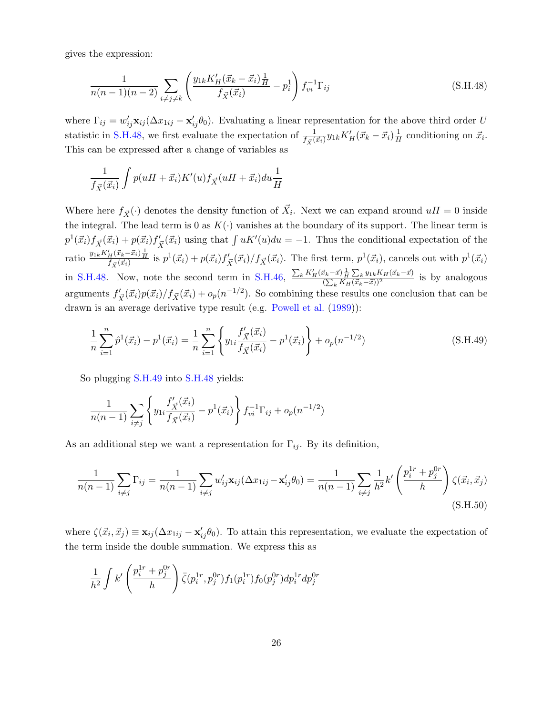gives the expression:

<span id="page-25-0"></span>
$$
\frac{1}{n(n-1)(n-2)} \sum_{i \neq j \neq k} \left( \frac{y_{1k} K_H'(\vec{x}_k - \vec{x}_i) \frac{1}{H}}{f_{\vec{X}}(\vec{x}_i)} - p_i^1 \right) f_{vi}^{-1} \Gamma_{ij}
$$
(S.H.48)

where  $\Gamma_{ij} = w'_{ij} \mathbf{x}_{ij} (\Delta x_{1ij} - \mathbf{x}'_{ij} \theta_0)$ . Evaluating a linear representation for the above third order U statistic in [S.H.48,](#page-25-0) we first evaluate the expectation of  $\frac{1}{f_{\vec{X}}(\vec{x_i})}y_{1k}K_H'(\vec{x_k}-\vec{x_i})\frac{1}{H}$  $\frac{1}{H}$  conditioning on  $\vec{x}_i$ . This can be expressed after a change of variables as

$$
\frac{1}{f_{\vec{X}}(\vec{x}_i)} \int p(uH + \vec{x}_i) K'(u) f_{\vec{X}}(uH + \vec{x}_i) du \frac{1}{H}
$$

Where here  $f_{\vec{X}}(\cdot)$  denotes the density function of  $\vec{X}_i$ . Next we can expand around  $uH = 0$  inside the integral. The lead term is 0 as  $K(\cdot)$  vanishes at the boundary of its support. The linear term is  $p^1(\vec{x}_i) f_{\vec{X}}(\vec{x}_i) + p(\vec{x}_i) f'_{\vec{X}}(\vec{x}_i)$  using that  $\int uK'(u)du = -1$ . Thus the conditional expectation of the ratio  $\frac{y_{1k}K'_H(\vec{x}_k-\vec{x}_i)\frac{1}{H}}{f_{\vec{X}}(\vec{x}_i)}$  is  $p^1(\vec{x}_i) + p(\vec{x}_i)f'_{\vec{X}}(\vec{x}_i)/f_{\vec{X}}(\vec{x}_i)$ . The first term,  $p^1(\vec{x}_i)$ , cancels out with  $p^1(\vec{x}_i)$ in [S.H.48.](#page-25-0) Now, note the second term in [S.H.46,](#page-24-2)  $\frac{\sum_{k} K'_{H}(\vec{x}_{k}-\vec{x}) \frac{1}{H} \sum_{k} y_{1k} K_{H}(\vec{x}_{k}-\vec{x})}{(\sum_{k} K'_{H}(\vec{x}_{k}-\vec{x}))^{2}}$  $\frac{\left(\sum_{k} x\right) \overline{H} \sum_{k} y_{1k} R H(x_k-x)}{\left(\sum_{k} K_H(\vec{x}_k-\vec{x})\right)^2}$  is by analogous arguments  $f'_{\vec{X}}(\vec{x_i})p(\vec{x_i})/f_{\vec{X}}(\vec{x_i}) + o_p(n^{-1/2})$ . So combining these results one conclusion that can be drawn is an average derivative type result (e.g. [Powell et al.](#page-28-8) [\(1989\)](#page-28-8)):

<span id="page-25-1"></span>
$$
\frac{1}{n}\sum_{i=1}^{n}\hat{p}^{1}(\vec{x}_{i}) - p^{1}(\vec{x}_{i}) = \frac{1}{n}\sum_{i=1}^{n}\left\{y_{1i}\frac{f_{\vec{X}}'(\vec{x}_{i})}{f_{\vec{X}}(\vec{x}_{i})} - p^{1}(\vec{x}_{i})\right\} + o_{p}(n^{-1/2})
$$
\n(S.H.49)

So plugging [S.H.49](#page-25-1) into [S.H.48](#page-25-0) yields:

$$
\frac{1}{n(n-1)}\sum_{i\neq j}\left\{y_{1i}\frac{f'_{\vec{X}}(\vec{x}_i)}{f_{\vec{X}}(\vec{x}_i)} - p^1(\vec{x}_i)\right\}f_{vi}^{-1}\Gamma_{ij} + o_p(n^{-1/2})
$$

As an additional step we want a representation for  $\Gamma_{ij}$ . By its definition,

$$
\frac{1}{n(n-1)}\sum_{i\neq j}\Gamma_{ij} = \frac{1}{n(n-1)}\sum_{i\neq j}w'_{ij}\mathbf{x}_{ij}(\Delta x_{1ij} - \mathbf{x}'_{ij}\theta_0) = \frac{1}{n(n-1)}\sum_{i\neq j}\frac{1}{h^2}k'\left(\frac{p_i^{1r} + p_j^{0r}}{h}\right)\zeta(\vec{x}_i, \vec{x}_j)
$$
\n(S.H.50)

where  $\zeta(\vec{x}_i, \vec{x}_j) \equiv \mathbf{x}_{ij} (\Delta x_{1ij} - \mathbf{x}'_{ij} \theta_0)$ . To attain this representation, we evaluate the expectation of the term inside the double summation. We express this as

$$
\frac{1}{h^2} \int k' \left( \frac{p_i^{1r} + p_j^{0r}}{h} \right) \bar{\zeta}(p_i^{1r}, p_j^{0r}) f_1(p_i^{1r}) f_0(p_j^{0r}) dp_i^{1r} dp_j^{0r}
$$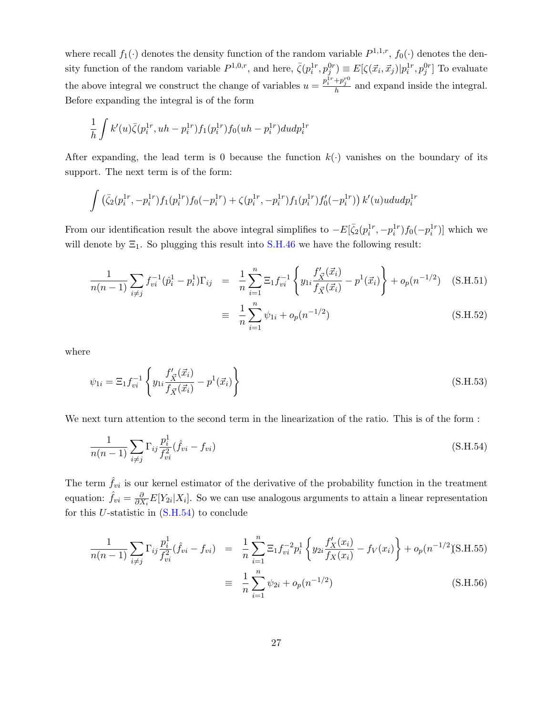where recall  $f_1(\cdot)$  denotes the density function of the random variable  $P^{1,1,r}$ ,  $f_0(\cdot)$  denotes the density function of the random variable  $P^{1,0,r}$ , and here,  $\bar{\zeta}(p_i^{1r}, p_j^{0r}) \equiv E[\zeta(\vec{x}_i, \vec{x}_j)|p_i^{1r}, p_j^{0r}]$  To evaluate the above integral we construct the change of variables  $u = \frac{p_i^{1r} + p_j^{r0}}{h}$  and expand inside the integral. Before expanding the integral is of the form

$$
\frac{1}{h} \int k'(u)\bar{\zeta}(p_i^{1r}, uh - p_i^{1r})f_1(p_i^{1r})f_0(uh - p_i^{1r})dudp_i^{1r}
$$

After expanding, the lead term is 0 because the function  $k(\cdot)$  vanishes on the boundary of its support. The next term is of the form:

$$
\int \left(\bar{\zeta}_2(p_i^{1r}, -p_i^{1r}) f_1(p_i^{1r}) f_0(-p_i^{1r}) + \zeta(p_i^{1r}, -p_i^{1r}) f_1(p_i^{1r}) f'_0(-p_i^{1r})\right) k'(u)u du dp_i^{1r}
$$

<span id="page-26-1"></span> $\frac{i=1}{i}$ 

From our identification result the above integral simplifies to  $-E[\bar{\zeta}_2(p_i^{1r}, -p_i^{1r})f_0(-p_i^{1r})]$  which we will denote by  $\Xi_1$ . So plugging this result into [S.H.46](#page-24-2) we have the following result:

$$
\frac{1}{n(n-1)} \sum_{i \neq j} f_{vi}^{-1} (\hat{p}_i^1 - p_i^1) \Gamma_{ij} = \frac{1}{n} \sum_{i=1}^n \Xi_1 f_{vi}^{-1} \left\{ y_{1i} \frac{f'_\mathbf{X}(\vec{x}_i)}{f_{\vec{X}}(\vec{x}_i)} - p^1(\vec{x}_i) \right\} + o_p(n^{-1/2}) \quad \text{(S.H.51)}
$$
\n
$$
\equiv \frac{1}{n} \sum_{i=1}^n \psi_{1i} + o_p(n^{-1/2}) \quad \text{(S.H.52)}
$$

where

<span id="page-26-0"></span>
$$
\psi_{1i} = \Xi_1 f_{vi}^{-1} \left\{ y_{1i} \frac{f'_{\vec{X}}(\vec{x}_i)}{f_{\vec{X}}(\vec{x}_i)} - p^1(\vec{x}_i) \right\}
$$
(S.H.53)

We next turn attention to the second term in the linearization of the ratio. This is of the form :

$$
\frac{1}{n(n-1)}\sum_{i\neq j}\Gamma_{ij}\frac{p_i^1}{f_{vi}^2}(\hat{f}_{vi}-f_{vi})
$$
\n(S.H.54)

The term  $\hat{f}_{vi}$  is our kernel estimator of the derivative of the probability function in the treatment equation:  $\hat{f}_{vi} = \frac{\partial}{\partial \lambda}$  $\frac{\partial}{\partial X_i} E[Y_{2i}|X_i]$ . So we can use analogous arguments to attain a linear representation for this U-statistic in  $(S.H.54)$  to conclude

$$
\frac{1}{n(n-1)} \sum_{i \neq j} \Gamma_{ij} \frac{p_i^1}{f_{vi}^2} (\hat{f}_{vi} - f_{vi}) = \frac{1}{n} \sum_{i=1}^n \Xi_1 f_{vi}^{-2} p_i^1 \left\{ y_{2i} \frac{f'_X(x_i)}{f_X(x_i)} - f_V(x_i) \right\} + o_p(n^{-1/2}) \tag{S.H.56}
$$
\n
$$
\equiv \frac{1}{n} \sum_{i=1}^n \psi_{2i} + o_p(n^{-1/2})
$$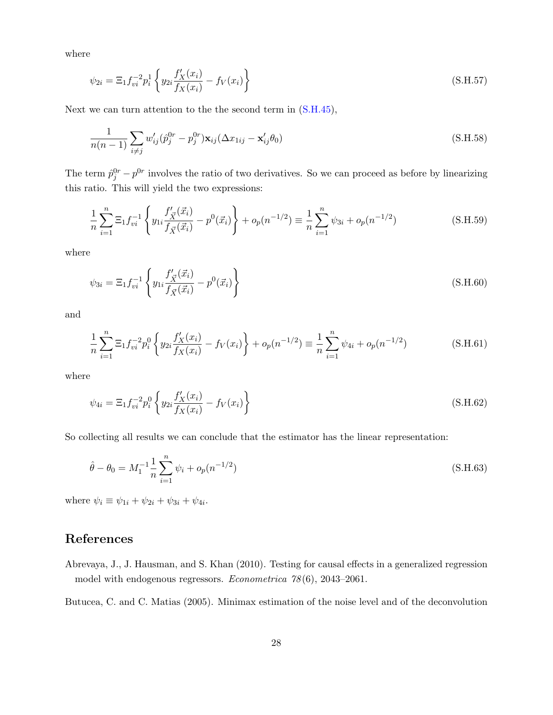where

<span id="page-27-2"></span>
$$
\psi_{2i} = \Xi_1 f_{vi}^{-2} p_i^1 \left\{ y_{2i} \frac{f'_X(x_i)}{f_X(x_i)} - f_V(x_i) \right\} \tag{S.H.57}
$$

Next we can turn attention to the the second term in [\(S.H.45\)](#page-24-3),

$$
\frac{1}{n(n-1)}\sum_{i\neq j} w'_{ij}(\hat{p}_j^{0r} - p_j^{0r})\mathbf{x}_{ij}(\Delta x_{1ij} - \mathbf{x}'_{ij}\theta_0)
$$
\n(S.H.58)

The term  $\hat{p}_j^{0r} - p^{0r}$  involves the ratio of two derivatives. So we can proceed as before by linearizing this ratio. This will yield the two expressions:

$$
\frac{1}{n}\sum_{i=1}^{n}\Xi_{1}f_{vi}^{-1}\left\{y_{1i}\frac{f_{\overline{X}}'(\vec{x}_{i})}{f_{\overline{X}}(\vec{x}_{i})} - p^{0}(\vec{x}_{i})\right\} + o_{p}(n^{-1/2}) \equiv \frac{1}{n}\sum_{i=1}^{n}\psi_{3i} + o_{p}(n^{-1/2})
$$
(S.H.59)

where

<span id="page-27-3"></span>
$$
\psi_{3i} = \Xi_1 f_{vi}^{-1} \left\{ y_{1i} \frac{f'_{\vec{X}}(\vec{x}_i)}{f_{\vec{X}}(\vec{x}_i)} - p^0(\vec{x}_i) \right\}
$$
(S.H.60)

and

$$
\frac{1}{n}\sum_{i=1}^{n}\Xi_{1}f_{vi}^{-2}p_{i}^{0}\left\{y_{2i}\frac{f_{X}'(x_{i})}{f_{X}(x_{i})}-f_{V}(x_{i})\right\}+o_{p}(n^{-1/2})\equiv\frac{1}{n}\sum_{i=1}^{n}\psi_{4i}+o_{p}(n^{-1/2})
$$
(S.H.61)

where

<span id="page-27-4"></span>
$$
\psi_{4i} = \Xi_1 f_{vi}^{-2} p_i^0 \left\{ y_{2i} \frac{f'_X(x_i)}{f_X(x_i)} - f_V(x_i) \right\}
$$
\n(S.H.62)

So collecting all results we can conclude that the estimator has the linear representation:

$$
\hat{\theta} - \theta_0 = M_1^{-1} \frac{1}{n} \sum_{i=1}^n \psi_i + o_p(n^{-1/2})
$$
\n(S.H.63)

where  $\psi_i \equiv \psi_{1i} + \psi_{2i} + \psi_{3i} + \psi_{4i}$ .

# References

<span id="page-27-0"></span>Abrevaya, J., J. Hausman, and S. Khan (2010). Testing for causal effects in a generalized regression model with endogenous regressors. Econometrica 78 (6), 2043–2061.

<span id="page-27-1"></span>Butucea, C. and C. Matias (2005). Minimax estimation of the noise level and of the deconvolution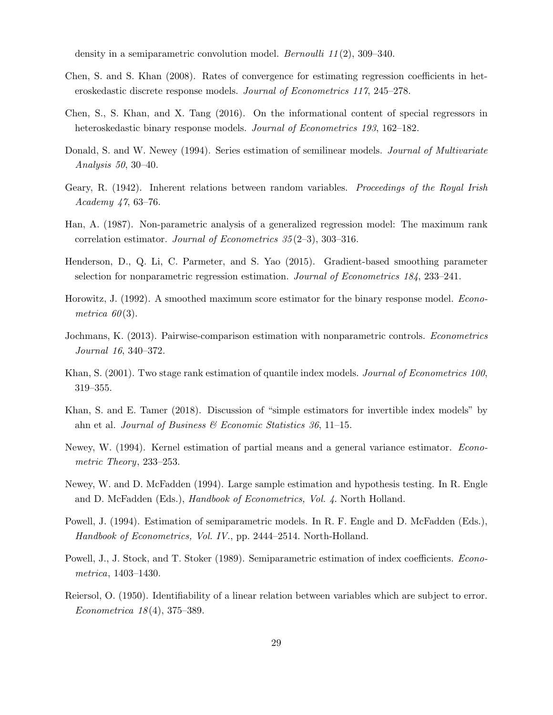density in a semiparametric convolution model. *Bernoulli 11*(2), 309–340.

- <span id="page-28-14"></span>Chen, S. and S. Khan (2008). Rates of convergence for estimating regression coefficients in heteroskedastic discrete response models. Journal of Econometrics 117, 245–278.
- <span id="page-28-3"></span>Chen, S., S. Khan, and X. Tang (2016). On the informational content of special regressors in heteroskedastic binary response models. Journal of Econometrics 193, 162–182.
- <span id="page-28-13"></span>Donald, S. and W. Newey (1994). Series estimation of semilinear models. *Journal of Multivariate* Analysis 50, 30–40.
- <span id="page-28-9"></span>Geary, R. (1942). Inherent relations between random variables. *Proceedings of the Royal Irish* Academy 47, 63–76.
- <span id="page-28-0"></span>Han, A. (1987). Non-parametric analysis of a generalized regression model: The maximum rank correlation estimator. Journal of Econometrics 35 (2–3), 303–316.
- <span id="page-28-6"></span>Henderson, D., Q. Li, C. Parmeter, and S. Yao (2015). Gradient-based smoothing parameter selection for nonparametric regression estimation. Journal of Econometrics 184, 233–241.
- <span id="page-28-7"></span>Horowitz, J. (1992). A smoothed maximum score estimator for the binary response model. *Econo*metrica  $60(3)$ .
- <span id="page-28-2"></span>Jochmans, K. (2013). Pairwise-comparison estimation with nonparametric controls. Econometrics Journal 16, 340–372.
- <span id="page-28-1"></span>Khan, S. (2001). Two stage rank estimation of quantile index models. *Journal of Econometrics 100*, 319–355.
- <span id="page-28-4"></span>Khan, S. and E. Tamer (2018). Discussion of "simple estimators for invertible index models" by ahn et al. Journal of Business & Economic Statistics 36, 11–15.
- <span id="page-28-11"></span>Newey, W. (1994). Kernel estimation of partial means and a general variance estimator. Econometric Theory, 233–253.
- <span id="page-28-5"></span>Newey, W. and D. McFadden (1994). Large sample estimation and hypothesis testing. In R. Engle and D. McFadden (Eds.), Handbook of Econometrics, Vol. 4. North Holland.
- <span id="page-28-12"></span>Powell, J. (1994). Estimation of semiparametric models. In R. F. Engle and D. McFadden (Eds.), Handbook of Econometrics, Vol. IV., pp. 2444–2514. North-Holland.
- <span id="page-28-8"></span>Powell, J., J. Stock, and T. Stoker (1989). Semiparametric estimation of index coefficients. Econometrica, 1403–1430.
- <span id="page-28-10"></span>Reiersol, O. (1950). Identifiability of a linear relation between variables which are subject to error. Econometrica 18 (4), 375–389.